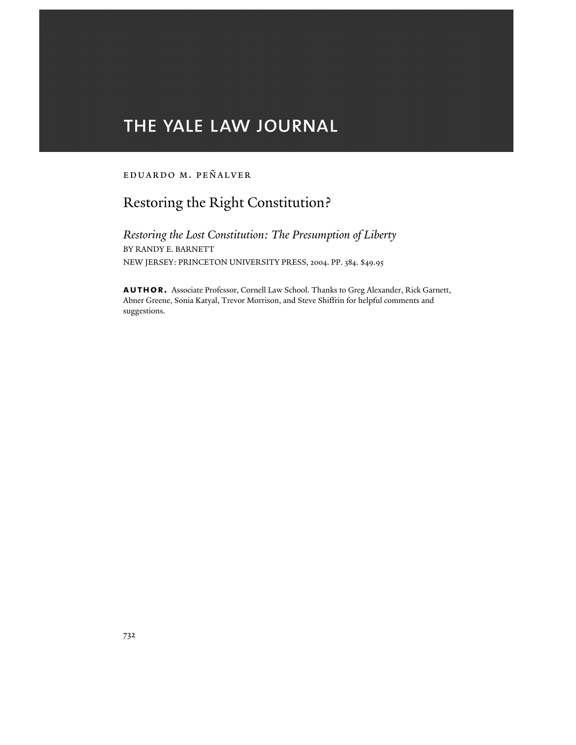# THE YALE LAW JOURNAL

### Eduardo M. Peñalver

# Restoring the Right Constitution?

*Restoring the Lost Constitution: The Presumption of Liberty* BY RANDY E. BARNETT NEW JERSEY: PRINCETON UNIVERSITY PRESS, 2004. PP. 384. \$49.95

**author.** Associate Professor, Cornell Law School. Thanks to Greg Alexander, Rick Garnett, Abner Greene, Sonia Katyal, Trevor Morrison, and Steve Shiffrin for helpful comments and suggestions.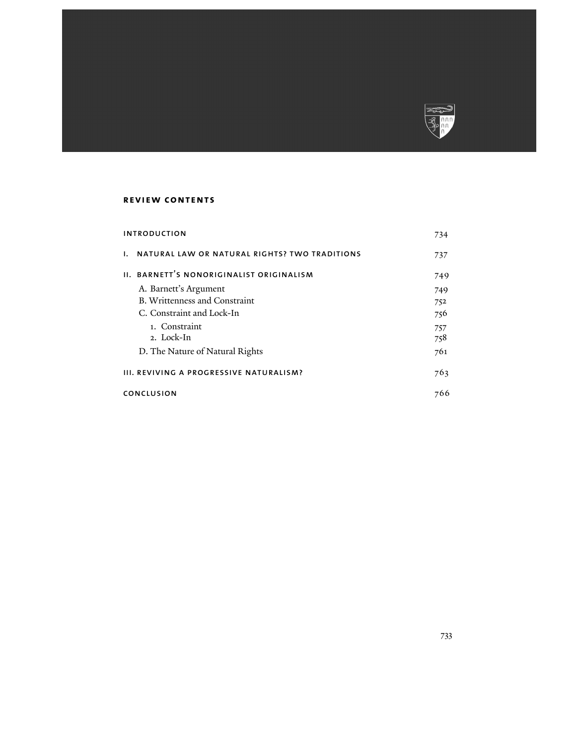

## **review contents**

| <b>INTRODUCTION</b>                     |                                                         | 734 |
|-----------------------------------------|---------------------------------------------------------|-----|
|                                         | <b>1. NATURAL LAW OR NATURAL RIGHTS? TWO TRADITIONS</b> | 737 |
|                                         | II. BARNETT'S NONORIGINALIST ORIGINALISM                | 749 |
|                                         | A. Barnett's Argument                                   | 749 |
|                                         | <b>B. Writtenness and Constraint</b>                    | 752 |
|                                         | C. Constraint and Lock-In                               | 756 |
|                                         | 1. Constraint                                           | 757 |
|                                         | 2. Lock-In                                              | 758 |
|                                         | D. The Nature of Natural Rights                         | 761 |
| III. REVIVING A PROGRESSIVE NATURALISM? |                                                         | 763 |
| CONCLUSION                              |                                                         | 766 |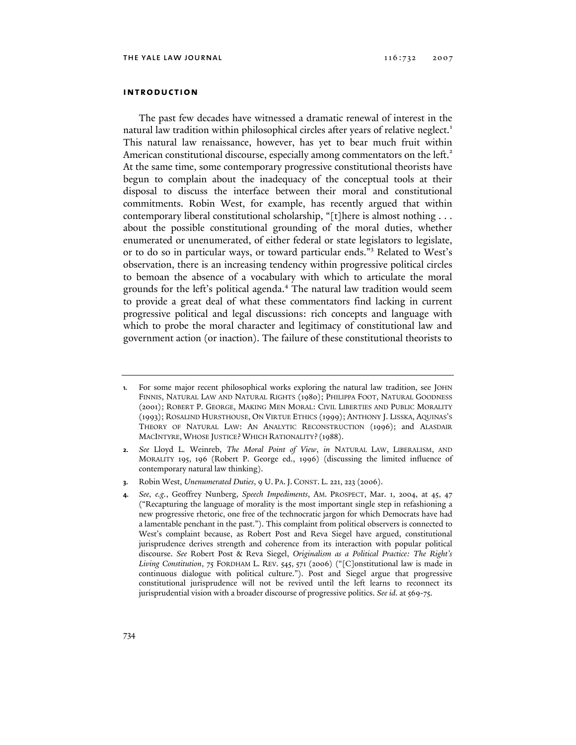#### **introduction**

The past few decades have witnessed a dramatic renewal of interest in the natural law tradition within philosophical circles after years of relative neglect.<sup>1</sup> This natural law renaissance, however, has yet to bear much fruit within American constitutional discourse, especially among commentators on the left.<sup>2</sup> At the same time, some contemporary progressive constitutional theorists have begun to complain about the inadequacy of the conceptual tools at their disposal to discuss the interface between their moral and constitutional commitments. Robin West, for example, has recently argued that within contemporary liberal constitutional scholarship, "[t]here is almost nothing . . . about the possible constitutional grounding of the moral duties, whether enumerated or unenumerated, of either federal or state legislators to legislate, or to do so in particular ways, or toward particular ends."<sup>3</sup> Related to West's observation, there is an increasing tendency within progressive political circles to bemoan the absence of a vocabulary with which to articulate the moral grounds for the left's political agenda.<sup>4</sup> The natural law tradition would seem to provide a great deal of what these commentators find lacking in current progressive political and legal discussions: rich concepts and language with which to probe the moral character and legitimacy of constitutional law and government action (or inaction). The failure of these constitutional theorists to

**<sup>1.</sup>** For some major recent philosophical works exploring the natural law tradition, see JOHN FINNIS, NATURAL LAW AND NATURAL RIGHTS (1980); PHILIPPA FOOT, NATURAL GOODNESS (2001); ROBERT P. GEORGE, MAKING MEN MORAL: CIVIL LIBERTIES AND PUBLIC MORALITY (1993); ROSALIND HURSTHOUSE, ON VIRTUE ETHICS (1999); ANTHONY J. LISSKA, AQUINAS'S THEORY OF NATURAL LAW: AN ANALYTIC RECONSTRUCTION (1996); and ALASDAIR MACINTYRE, WHOSE JUSTICE? WHICH RATIONALITY? (1988).

**<sup>2.</sup>** *See* Lloyd L. Weinreb, *The Moral Point of View*, *in* NATURAL LAW, LIBERALISM, AND MORALITY 195, 196 (Robert P. George ed., 1996) (discussing the limited influence of contemporary natural law thinking).

**<sup>3.</sup>** Robin West, *Unenumerated Duties*, 9 U. PA.J. CONST. L. 221, 223 (2006).

**<sup>4.</sup>** *See, e.g.*, Geoffrey Nunberg, *Speech Impediments*, AM. PROSPECT, Mar. 1, 2004, at 45, 47 ("Recapturing the language of morality is the most important single step in refashioning a new progressive rhetoric, one free of the technocratic jargon for which Democrats have had a lamentable penchant in the past."). This complaint from political observers is connected to West's complaint because, as Robert Post and Reva Siegel have argued, constitutional jurisprudence derives strength and coherence from its interaction with popular political discourse. *See* Robert Post & Reva Siegel, *Originalism as a Political Practice: The Right's Living Constitution*, 75 FORDHAM L. REV. 545, 571 (2006) ("[C]onstitutional law is made in continuous dialogue with political culture."). Post and Siegel argue that progressive constitutional jurisprudence will not be revived until the left learns to reconnect its jurisprudential vision with a broader discourse of progressive politics. *See id*. at 569-75.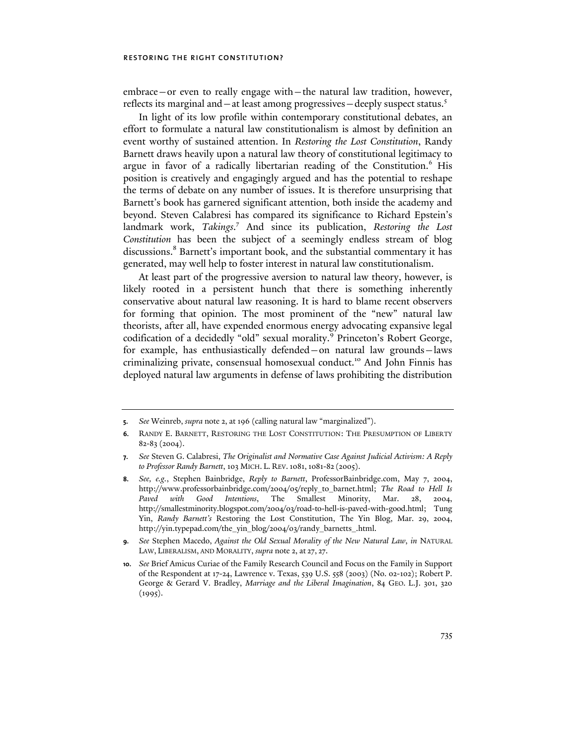embrace—or even to really engage with—the natural law tradition, however, reflects its marginal and  $-$  at least among progressives  $-$  deeply suspect status.<sup>5</sup>

In light of its low profile within contemporary constitutional debates, an effort to formulate a natural law constitutionalism is almost by definition an event worthy of sustained attention. In *Restoring the Lost Constitution*, Randy Barnett draws heavily upon a natural law theory of constitutional legitimacy to argue in favor of a radically libertarian reading of the Constitution.<sup>6</sup> His position is creatively and engagingly argued and has the potential to reshape the terms of debate on any number of issues. It is therefore unsurprising that Barnett's book has garnered significant attention, both inside the academy and beyond. Steven Calabresi has compared its significance to Richard Epstein's landmark work, Takings.<sup>7</sup> And since its publication, Restoring the Lost *Constitution* has been the subject of a seemingly endless stream of blog discussions.<sup>8</sup> Barnett's important book, and the substantial commentary it has generated, may well help to foster interest in natural law constitutionalism.

At least part of the progressive aversion to natural law theory, however, is likely rooted in a persistent hunch that there is something inherently conservative about natural law reasoning. It is hard to blame recent observers for forming that opinion. The most prominent of the "new" natural law theorists, after all, have expended enormous energy advocating expansive legal codification of a decidedly "old" sexual morality.<sup>9</sup> Princeton's Robert George, for example, has enthusiastically defended—on natural law grounds—laws criminalizing private, consensual homosexual conduct.<sup>10</sup> And John Finnis has deployed natural law arguments in defense of laws prohibiting the distribution

**<sup>5.</sup>** *See* Weinreb, *supra* note 2, at 196 (calling natural law "marginalized").

**<sup>6.</sup>** RANDY E. BARNETT, RESTORING THE LOST CONSTITUTION: THE PRESUMPTION OF LIBERTY 82-83 (2004).

**<sup>7.</sup>** *See* Steven G. Calabresi, *The Originalist and Normative Case Against Judicial Activism: A Reply to Professor Randy Barnett*, 103 MICH. L. REV.1081,1081-82 (2005).

**<sup>8.</sup>** *See, e.g.*, Stephen Bainbridge, *Reply to Barnett*, ProfessorBainbridge.com, May 7, 2004, http://www.professorbainbridge.com/2004/05/reply\_to\_barnet.html; *The Road to Hell Is Paved with Good Intentions*, The Smallest Minority, Mar. 28, 2004, http://smallestminority.blogspot.com/2004/03/road-to-hell-is-paved-with-good.html; Tung Yin, *Randy Barnett's* Restoring the Lost Constitution, The Yin Blog, Mar. 29, 2004, http://yin.typepad.com/the\_yin\_blog/2004/03/randy\_barnetts\_.html.

**<sup>9.</sup>** *See* Stephen Macedo, *Against the Old Sexual Morality of the New Natural Law*, *in* NATURAL LAW, LIBERALISM, AND MORALITY, *supra* note 2, at 27, 27.

**<sup>10.</sup>** *See* Brief Amicus Curiae of the Family Research Council and Focus on the Family in Support of the Respondent at 17-24, Lawrence v. Texas, 539 U.S. 558 (2003) (No. 02-102); Robert P. George & Gerard V. Bradley, *Marriage and the Liberal Imagination*, 84 GEO. L.J. 301, 320  $(1995).$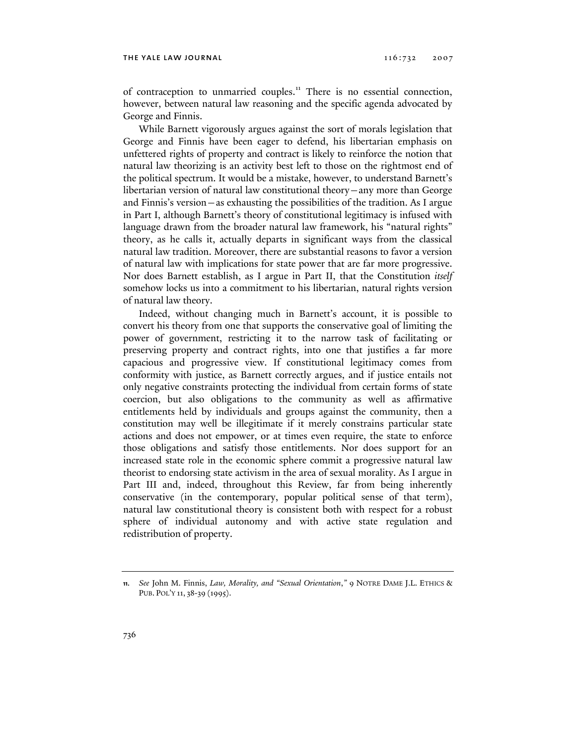of contraception to unmarried couples.<sup>11</sup> There is no essential connection, however, between natural law reasoning and the specific agenda advocated by George and Finnis.

While Barnett vigorously argues against the sort of morals legislation that George and Finnis have been eager to defend, his libertarian emphasis on unfettered rights of property and contract is likely to reinforce the notion that natural law theorizing is an activity best left to those on the rightmost end of the political spectrum. It would be a mistake, however, to understand Barnett's libertarian version of natural law constitutional theory—any more than George and Finnis's version—as exhausting the possibilities of the tradition. As I argue in Part I, although Barnett's theory of constitutional legitimacy is infused with language drawn from the broader natural law framework, his "natural rights" theory, as he calls it, actually departs in significant ways from the classical natural law tradition. Moreover, there are substantial reasons to favor a version of natural law with implications for state power that are far more progressive. Nor does Barnett establish, as I argue in Part II, that the Constitution *itself* somehow locks us into a commitment to his libertarian, natural rights version of natural law theory.

Indeed, without changing much in Barnett's account, it is possible to convert his theory from one that supports the conservative goal of limiting the power of government, restricting it to the narrow task of facilitating or preserving property and contract rights, into one that justifies a far more capacious and progressive view. If constitutional legitimacy comes from conformity with justice, as Barnett correctly argues, and if justice entails not only negative constraints protecting the individual from certain forms of state coercion, but also obligations to the community as well as affirmative entitlements held by individuals and groups against the community, then a constitution may well be illegitimate if it merely constrains particular state actions and does not empower, or at times even require, the state to enforce those obligations and satisfy those entitlements. Nor does support for an increased state role in the economic sphere commit a progressive natural law theorist to endorsing state activism in the area of sexual morality. As I argue in Part III and, indeed, throughout this Review, far from being inherently conservative (in the contemporary, popular political sense of that term), natural law constitutional theory is consistent both with respect for a robust sphere of individual autonomy and with active state regulation and redistribution of property.

**<sup>11.</sup>** *See* John M. Finnis, *Law, Morality, and "Sexual Orientation*,*"* 9 NOTRE DAME J.L. ETHICS & PUB. POL'Y 11, 38-39 (1995).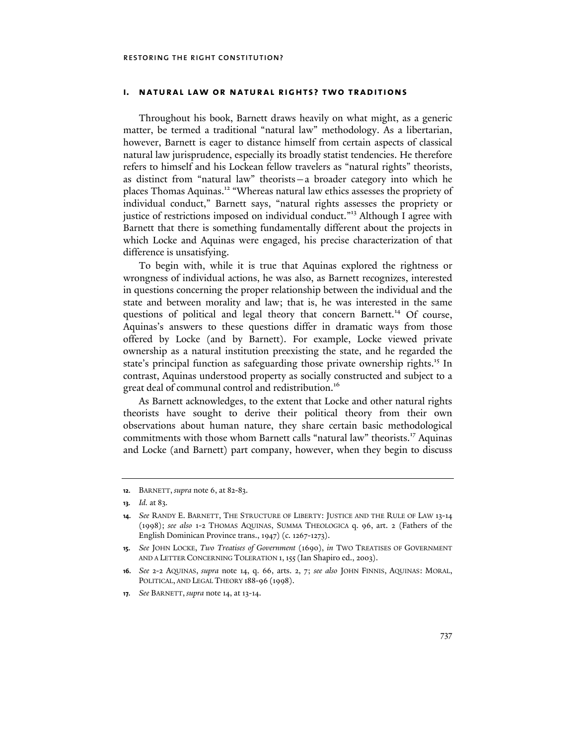#### **i. natural law or natural rights? two traditions**

Throughout his book, Barnett draws heavily on what might, as a generic matter, be termed a traditional "natural law" methodology. As a libertarian, however, Barnett is eager to distance himself from certain aspects of classical natural law jurisprudence, especially its broadly statist tendencies. He therefore refers to himself and his Lockean fellow travelers as "natural rights" theorists, as distinct from "natural law" theorists—a broader category into which he places Thomas Aquinas.<sup>12</sup> "Whereas natural law ethics assesses the propriety of individual conduct," Barnett says, "natural rights assesses the propriety or justice of restrictions imposed on individual conduct."13 Although I agree with Barnett that there is something fundamentally different about the projects in which Locke and Aquinas were engaged, his precise characterization of that difference is unsatisfying.

To begin with, while it is true that Aquinas explored the rightness or wrongness of individual actions, he was also, as Barnett recognizes, interested in questions concerning the proper relationship between the individual and the state and between morality and law; that is, he was interested in the same questions of political and legal theory that concern Barnett.14 Of course, Aquinas's answers to these questions differ in dramatic ways from those offered by Locke (and by Barnett). For example, Locke viewed private ownership as a natural institution preexisting the state, and he regarded the state's principal function as safeguarding those private ownership rights.<sup>15</sup> In contrast, Aquinas understood property as socially constructed and subject to a great deal of communal control and redistribution.<sup>16</sup>

As Barnett acknowledges, to the extent that Locke and other natural rights theorists have sought to derive their political theory from their own observations about human nature, they share certain basic methodological commitments with those whom Barnett calls "natural law" theorists.<sup>17</sup> Aquinas and Locke (and Barnett) part company, however, when they begin to discuss

**<sup>12.</sup>** BARNETT, *supra* note 6, at 82-83.

**<sup>13.</sup>** *Id.* at 83.

**<sup>14.</sup>** *See* RANDY E. BARNETT, THE STRUCTURE OF LIBERTY: JUSTICE AND THE RULE OF LAW 13-14 (1998); *see also* 1-2 THOMAS AQUINAS, SUMMA THEOLOGICA q. 96, art. 2 (Fathers of the English Dominican Province trans., 1947) (c. 1267-1273).

**<sup>15.</sup>** *See* JOHN LOCKE, *Two Treatises of Government* (1690), *in* TWO TREATISES OF GOVERNMENT AND A LETTER CONCERNING TOLERATION 1, 155 (Ian Shapiro ed., 2003).

**<sup>16.</sup>** *See* 2-2 AQUINAS, *supra* note 14, q. 66, arts. 2, 7; *see also* JOHN FINNIS, AQUINAS: MORAL, POLITICAL, AND LEGAL THEORY 188-96 (1998).

**<sup>17.</sup>** *See* BARNETT, *supra* note 14, at 13-14.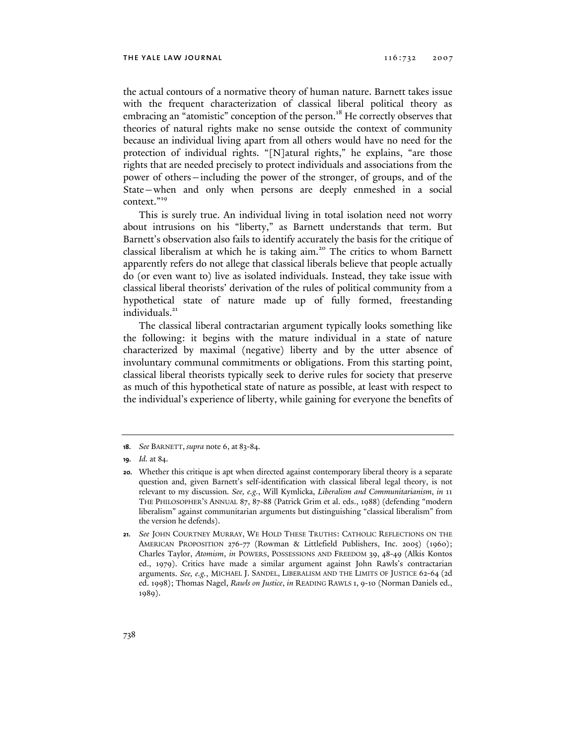the actual contours of a normative theory of human nature. Barnett takes issue with the frequent characterization of classical liberal political theory as embracing an "atomistic" conception of the person.<sup>18</sup> He correctly observes that theories of natural rights make no sense outside the context of community because an individual living apart from all others would have no need for the protection of individual rights. "[N]atural rights," he explains, "are those rights that are needed precisely to protect individuals and associations from the power of others—including the power of the stronger, of groups, and of the State—when and only when persons are deeply enmeshed in a social context."<sup>19</sup>

This is surely true. An individual living in total isolation need not worry about intrusions on his "liberty," as Barnett understands that term. But Barnett's observation also fails to identify accurately the basis for the critique of classical liberalism at which he is taking aim.<sup>20</sup> The critics to whom Barnett apparently refers do not allege that classical liberals believe that people actually do (or even want to) live as isolated individuals. Instead, they take issue with classical liberal theorists' derivation of the rules of political community from a hypothetical state of nature made up of fully formed, freestanding individuals.<sup>21</sup>

The classical liberal contractarian argument typically looks something like the following: it begins with the mature individual in a state of nature characterized by maximal (negative) liberty and by the utter absence of involuntary communal commitments or obligations. From this starting point, classical liberal theorists typically seek to derive rules for society that preserve as much of this hypothetical state of nature as possible, at least with respect to the individual's experience of liberty, while gaining for everyone the benefits of

**<sup>18.</sup>** *See* BARNETT, *supra* note 6, at 83-84.

**<sup>19.</sup>** *Id.* at 84.

**<sup>20.</sup>** Whether this critique is apt when directed against contemporary liberal theory is a separate question and, given Barnett's self-identification with classical liberal legal theory, is not relevant to my discussion. *See, e.g.*, Will Kymlicka, *Liberalism and Communitarianism*, *in* 11 THE PHILOSOPHER'S ANNUAL 87, 87-88 (Patrick Grim et al. eds., 1988) (defending "modern liberalism" against communitarian arguments but distinguishing "classical liberalism" from the version he defends).

**<sup>21.</sup>** *See* JOHN COURTNEY MURRAY, WE HOLD THESE TRUTHS: CATHOLIC REFLECTIONS ON THE AMERICAN PROPOSITION 276-77 (Rowman & Littlefield Publishers, Inc. 2005) (1960); Charles Taylor, *Atomism*, *in* POWERS, POSSESSIONS AND FREEDOM 39, 48-49 (Alkis Kontos ed., 1979). Critics have made a similar argument against John Rawls's contractarian arguments. *See, e.g.*, MICHAEL J. SANDEL, LIBERALISM AND THE LIMITS OF JUSTICE 62-64 (2d ed. 1998); Thomas Nagel, *Rawls on Justice*, *in* READING RAWLS 1, 9-10 (Norman Daniels ed., 1989).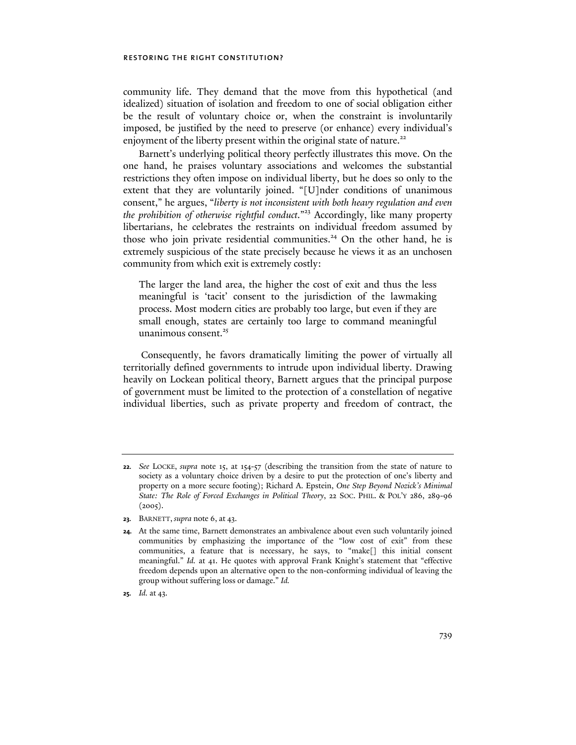community life. They demand that the move from this hypothetical (and idealized) situation of isolation and freedom to one of social obligation either be the result of voluntary choice or, when the constraint is involuntarily imposed, be justified by the need to preserve (or enhance) every individual's enjoyment of the liberty present within the original state of nature.<sup>22</sup>

Barnett's underlying political theory perfectly illustrates this move. On the one hand, he praises voluntary associations and welcomes the substantial restrictions they often impose on individual liberty, but he does so only to the extent that they are voluntarily joined. "[U]nder conditions of unanimous consent," he argues, "*liberty is not inconsistent with both heavy regulation and even the prohibition of otherwise rightful conduct*."23 Accordingly, like many property libertarians, he celebrates the restraints on individual freedom assumed by those who join private residential communities.<sup>24</sup> On the other hand, he is extremely suspicious of the state precisely because he views it as an unchosen community from which exit is extremely costly:

The larger the land area, the higher the cost of exit and thus the less meaningful is 'tacit' consent to the jurisdiction of the lawmaking process. Most modern cities are probably too large, but even if they are small enough, states are certainly too large to command meaningful unanimous consent. $25$ 

 Consequently, he favors dramatically limiting the power of virtually all territorially defined governments to intrude upon individual liberty. Drawing heavily on Lockean political theory, Barnett argues that the principal purpose of government must be limited to the protection of a constellation of negative individual liberties, such as private property and freedom of contract, the

**<sup>22.</sup>** *See* LOCKE, *supra* note 15, at 154-57 (describing the transition from the state of nature to society as a voluntary choice driven by a desire to put the protection of one's liberty and property on a more secure footing); Richard A. Epstein, *One Step Beyond Nozick's Minimal State: The Role of Forced Exchanges in Political Theory*, 22 SOC. PHIL. & POL'Y 286, 289-96  $(2005).$ 

**<sup>23.</sup>** BARNETT, *supra* note 6, at 43.

**<sup>24.</sup>** At the same time, Barnett demonstrates an ambivalence about even such voluntarily joined communities by emphasizing the importance of the "low cost of exit" from these communities, a feature that is necessary, he says, to "make[] this initial consent meaningful." *Id.* at 41. He quotes with approval Frank Knight's statement that "effective freedom depends upon an alternative open to the non-conforming individual of leaving the group without suffering loss or damage." *Id.* 

**<sup>25.</sup>** *Id.* at 43.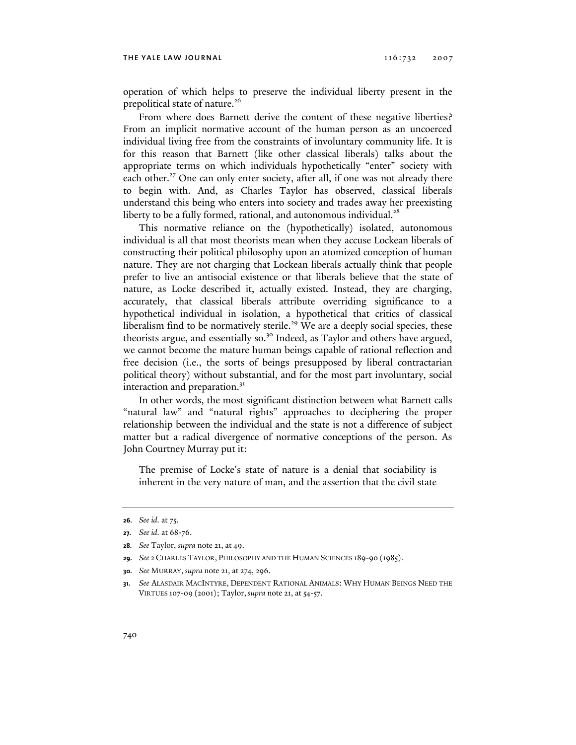operation of which helps to preserve the individual liberty present in the prepolitical state of nature.<sup>26</sup>

From where does Barnett derive the content of these negative liberties? From an implicit normative account of the human person as an uncoerced individual living free from the constraints of involuntary community life. It is for this reason that Barnett (like other classical liberals) talks about the appropriate terms on which individuals hypothetically "enter" society with each other.<sup>27</sup> One can only enter society, after all, if one was not already there to begin with. And, as Charles Taylor has observed, classical liberals understand this being who enters into society and trades away her preexisting liberty to be a fully formed, rational, and autonomous individual.<sup>28</sup>

This normative reliance on the (hypothetically) isolated, autonomous individual is all that most theorists mean when they accuse Lockean liberals of constructing their political philosophy upon an atomized conception of human nature. They are not charging that Lockean liberals actually think that people prefer to live an antisocial existence or that liberals believe that the state of nature, as Locke described it, actually existed. Instead, they are charging, accurately, that classical liberals attribute overriding significance to a hypothetical individual in isolation, a hypothetical that critics of classical liberalism find to be normatively sterile.<sup>29</sup> We are a deeply social species, these theorists argue, and essentially so.<sup>30</sup> Indeed, as Taylor and others have argued, we cannot become the mature human beings capable of rational reflection and free decision (i.e., the sorts of beings presupposed by liberal contractarian political theory) without substantial, and for the most part involuntary, social interaction and preparation.<sup>31</sup>

In other words, the most significant distinction between what Barnett calls "natural law" and "natural rights" approaches to deciphering the proper relationship between the individual and the state is not a difference of subject matter but a radical divergence of normative conceptions of the person. As John Courtney Murray put it:

The premise of Locke's state of nature is a denial that sociability is inherent in the very nature of man, and the assertion that the civil state

**<sup>26.</sup>** *See id.* at 75.

**<sup>27.</sup>** *See id.* at 68-76.

**<sup>28.</sup>** *See* Taylor, *supra* note 21, at 49.

**<sup>29.</sup>** *See* 2 CHARLES TAYLOR, PHILOSOPHY AND THE HUMAN SCIENCES 189-90 (1985).

**<sup>30.</sup>** *See* MURRAY, *supra* note 21, at 274, 296.

**<sup>31.</sup>** *See* ALASDAIR MACINTYRE, DEPENDENT RATIONAL ANIMALS: WHY HUMAN BEINGS NEED THE VIRTUES 107-09 (2001); Taylor, *supra* note 21, at 54-57.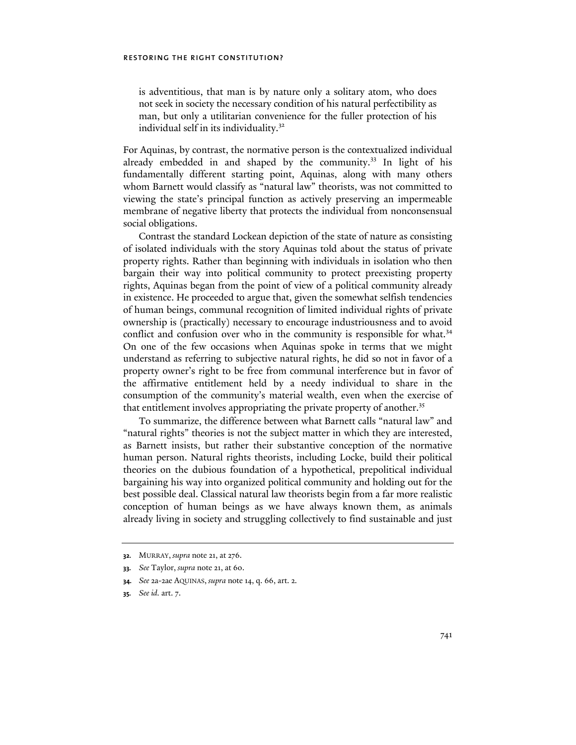is adventitious, that man is by nature only a solitary atom, who does not seek in society the necessary condition of his natural perfectibility as man, but only a utilitarian convenience for the fuller protection of his individual self in its individuality.<sup>32</sup>

For Aquinas, by contrast, the normative person is the contextualized individual already embedded in and shaped by the community.<sup>33</sup> In light of his fundamentally different starting point, Aquinas, along with many others whom Barnett would classify as "natural law" theorists, was not committed to viewing the state's principal function as actively preserving an impermeable membrane of negative liberty that protects the individual from nonconsensual social obligations.

Contrast the standard Lockean depiction of the state of nature as consisting of isolated individuals with the story Aquinas told about the status of private property rights. Rather than beginning with individuals in isolation who then bargain their way into political community to protect preexisting property rights, Aquinas began from the point of view of a political community already in existence. He proceeded to argue that, given the somewhat selfish tendencies of human beings, communal recognition of limited individual rights of private ownership is (practically) necessary to encourage industriousness and to avoid conflict and confusion over who in the community is responsible for what.<sup>34</sup> On one of the few occasions when Aquinas spoke in terms that we might understand as referring to subjective natural rights, he did so not in favor of a property owner's right to be free from communal interference but in favor of the affirmative entitlement held by a needy individual to share in the consumption of the community's material wealth, even when the exercise of that entitlement involves appropriating the private property of another.<sup>35</sup>

To summarize, the difference between what Barnett calls "natural law" and "natural rights" theories is not the subject matter in which they are interested, as Barnett insists, but rather their substantive conception of the normative human person. Natural rights theorists, including Locke, build their political theories on the dubious foundation of a hypothetical, prepolitical individual bargaining his way into organized political community and holding out for the best possible deal. Classical natural law theorists begin from a far more realistic conception of human beings as we have always known them, as animals already living in society and struggling collectively to find sustainable and just

**<sup>32.</sup>** MURRAY, *supra* note 21, at 276.

**<sup>33.</sup>** *See* Taylor, *supra* note 21, at 60.

**<sup>34.</sup>** *See* 2a-2ae AQUINAS, *supra* note 14, q. 66, art. 2.

**<sup>35.</sup>** *See id.* art. 7.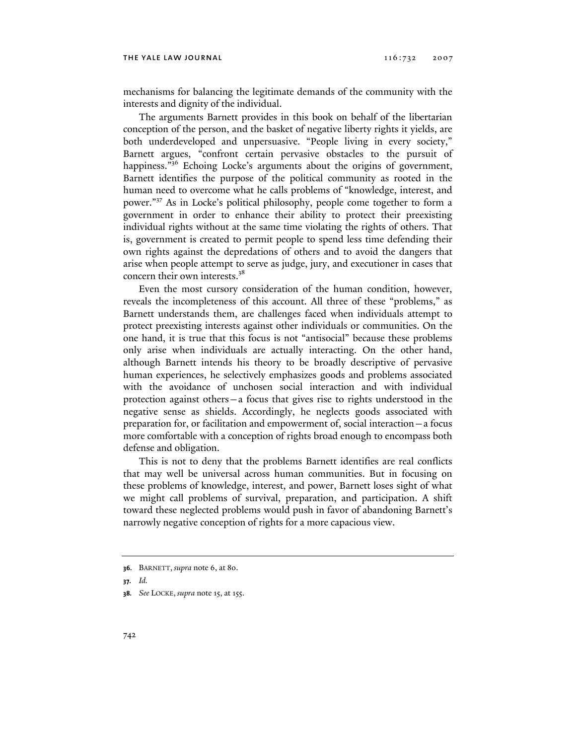mechanisms for balancing the legitimate demands of the community with the interests and dignity of the individual.

The arguments Barnett provides in this book on behalf of the libertarian conception of the person, and the basket of negative liberty rights it yields, are both underdeveloped and unpersuasive. "People living in every society," Barnett argues, "confront certain pervasive obstacles to the pursuit of happiness."<sup>36</sup> Echoing Locke's arguments about the origins of government, Barnett identifies the purpose of the political community as rooted in the human need to overcome what he calls problems of "knowledge, interest, and power."37 As in Locke's political philosophy, people come together to form a government in order to enhance their ability to protect their preexisting individual rights without at the same time violating the rights of others. That is, government is created to permit people to spend less time defending their own rights against the depredations of others and to avoid the dangers that arise when people attempt to serve as judge, jury, and executioner in cases that concern their own interests.38

Even the most cursory consideration of the human condition, however, reveals the incompleteness of this account. All three of these "problems," as Barnett understands them, are challenges faced when individuals attempt to protect preexisting interests against other individuals or communities. On the one hand, it is true that this focus is not "antisocial" because these problems only arise when individuals are actually interacting. On the other hand, although Barnett intends his theory to be broadly descriptive of pervasive human experiences, he selectively emphasizes goods and problems associated with the avoidance of unchosen social interaction and with individual protection against others—a focus that gives rise to rights understood in the negative sense as shields. Accordingly, he neglects goods associated with preparation for, or facilitation and empowerment of, social interaction—a focus more comfortable with a conception of rights broad enough to encompass both defense and obligation.

This is not to deny that the problems Barnett identifies are real conflicts that may well be universal across human communities. But in focusing on these problems of knowledge, interest, and power, Barnett loses sight of what we might call problems of survival, preparation, and participation. A shift toward these neglected problems would push in favor of abandoning Barnett's narrowly negative conception of rights for a more capacious view.

**<sup>36.</sup>** BARNETT, *supra* note 6, at 80.

**<sup>37.</sup>** *Id.*

**<sup>38.</sup>** *See* LOCKE, *supra* note 15, at 155.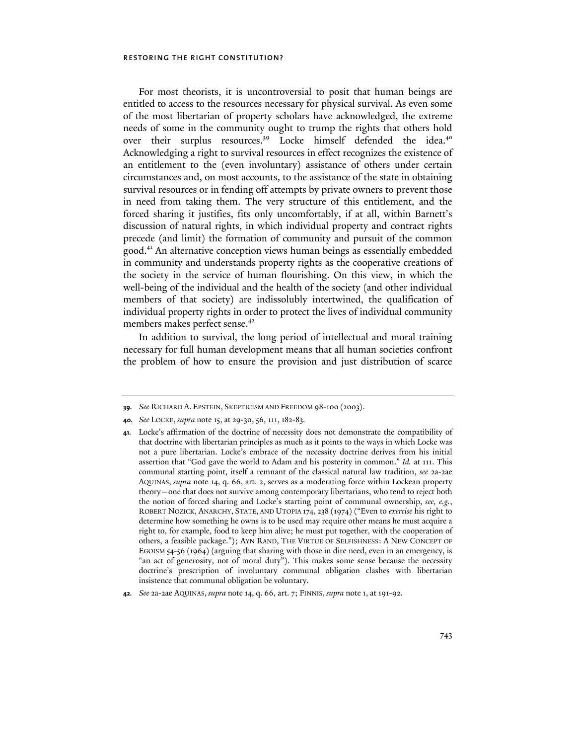For most theorists, it is uncontroversial to posit that human beings are entitled to access to the resources necessary for physical survival. As even some of the most libertarian of property scholars have acknowledged, the extreme needs of some in the community ought to trump the rights that others hold over their surplus resources.<sup>39</sup> Locke himself defended the idea.<sup>40</sup> Acknowledging a right to survival resources in effect recognizes the existence of an entitlement to the (even involuntary) assistance of others under certain circumstances and, on most accounts, to the assistance of the state in obtaining survival resources or in fending off attempts by private owners to prevent those in need from taking them. The very structure of this entitlement, and the forced sharing it justifies, fits only uncomfortably, if at all, within Barnett's discussion of natural rights, in which individual property and contract rights precede (and limit) the formation of community and pursuit of the common good.41 An alternative conception views human beings as essentially embedded in community and understands property rights as the cooperative creations of the society in the service of human flourishing. On this view, in which the well-being of the individual and the health of the society (and other individual members of that society) are indissolubly intertwined, the qualification of individual property rights in order to protect the lives of individual community members makes perfect sense.<sup>42</sup>

In addition to survival, the long period of intellectual and moral training necessary for full human development means that all human societies confront the problem of how to ensure the provision and just distribution of scarce

**<sup>39.</sup>** *See* RICHARD A. EPSTEIN, SKEPTICISM AND FREEDOM 98-100 (2003).

**<sup>40.</sup>** *See* LOCKE, *supra* note 15, at 29-30, 56, 111, 182-83.

**<sup>41.</sup>** Locke's affirmation of the doctrine of necessity does not demonstrate the compatibility of that doctrine with libertarian principles as much as it points to the ways in which Locke was not a pure libertarian. Locke's embrace of the necessity doctrine derives from his initial assertion that "God gave the world to Adam and his posterity in common." *Id.* at 111. This communal starting point, itself a remnant of the classical natural law tradition, *see* 2a-2ae AQUINAS, *supra* note 14, q. 66, art. 2, serves as a moderating force within Lockean property theory—one that does not survive among contemporary libertarians, who tend to reject both the notion of forced sharing and Locke's starting point of communal ownership, *see, e.g.*, ROBERT NOZICK, ANARCHY, STATE, AND UTOPIA 174, 238 (1974) ("Even to *exercise* his right to determine how something he owns is to be used may require other means he must acquire a right to, for example, food to keep him alive; he must put together, with the cooperation of others, a feasible package."); AYN RAND, THE VIRTUE OF SELFISHNESS: A NEW CONCEPT OF EGOISM 54-56 (1964) (arguing that sharing with those in dire need, even in an emergency, is "an act of generosity, not of moral duty"). This makes some sense because the necessity doctrine's prescription of involuntary communal obligation clashes with libertarian insistence that communal obligation be voluntary.

**<sup>42.</sup>** *See* 2a-2ae AQUINAS, *supra* note 14, q. 66, art. 7; FINNIS, *supra* note 1, at 191-92.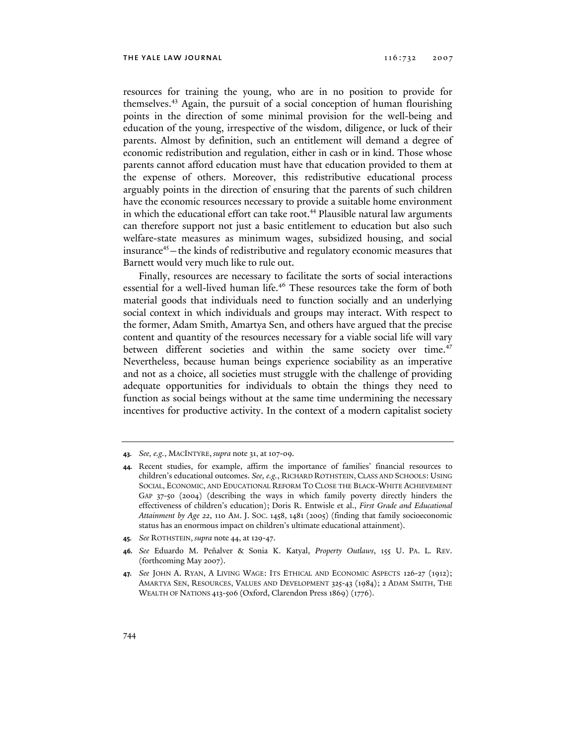resources for training the young, who are in no position to provide for themselves.43 Again, the pursuit of a social conception of human flourishing points in the direction of some minimal provision for the well-being and education of the young, irrespective of the wisdom, diligence, or luck of their parents. Almost by definition, such an entitlement will demand a degree of economic redistribution and regulation, either in cash or in kind. Those whose parents cannot afford education must have that education provided to them at the expense of others. Moreover, this redistributive educational process arguably points in the direction of ensuring that the parents of such children have the economic resources necessary to provide a suitable home environment in which the educational effort can take root.<sup>44</sup> Plausible natural law arguments can therefore support not just a basic entitlement to education but also such welfare-state measures as minimum wages, subsidized housing, and social insurance<sup>45</sup> – the kinds of redistributive and regulatory economic measures that Barnett would very much like to rule out.

Finally, resources are necessary to facilitate the sorts of social interactions essential for a well-lived human life.<sup>46</sup> These resources take the form of both material goods that individuals need to function socially and an underlying social context in which individuals and groups may interact. With respect to the former, Adam Smith, Amartya Sen, and others have argued that the precise content and quantity of the resources necessary for a viable social life will vary between different societies and within the same society over time.<sup>47</sup> Nevertheless, because human beings experience sociability as an imperative and not as a choice, all societies must struggle with the challenge of providing adequate opportunities for individuals to obtain the things they need to function as social beings without at the same time undermining the necessary incentives for productive activity. In the context of a modern capitalist society

**<sup>43.</sup>** *See, e.g.*, MACINTYRE, *supra* note 31, at 107-09.

**<sup>44.</sup>** Recent studies, for example, affirm the importance of families' financial resources to children's educational outcomes. *See, e.g.*, RICHARD ROTHSTEIN, CLASS AND SCHOOLS: USING SOCIAL, ECONOMIC, AND EDUCATIONAL REFORM TO CLOSE THE BLACK-WHITE ACHIEVEMENT GAP 37-50 (2004) (describing the ways in which family poverty directly hinders the effectiveness of children's education); Doris R. Entwisle et al., *First Grade and Educational Attainment by Age 22*, 110 AM. J. SOC. 1458, 1481 (2005) (finding that family socioeconomic status has an enormous impact on children's ultimate educational attainment).

**<sup>45.</sup>** *See* ROTHSTEIN, *supra* note 44, at 129-47.

**<sup>46.</sup>** *See* Eduardo M. Peñalver & Sonia K. Katyal, *Property Outlaws*, 155 U. PA. L. REV. (forthcoming May 2007).

**<sup>47.</sup>** *See* JOHN A. RYAN, A LIVING WAGE: ITS ETHICAL AND ECONOMIC ASPECTS 126-27 (1912); AMARTYA SEN, RESOURCES, VALUES AND DEVELOPMENT 325-43 (1984); 2 ADAM SMITH, THE WEALTH OF NATIONS 413-506 (Oxford, Clarendon Press 1869) (1776).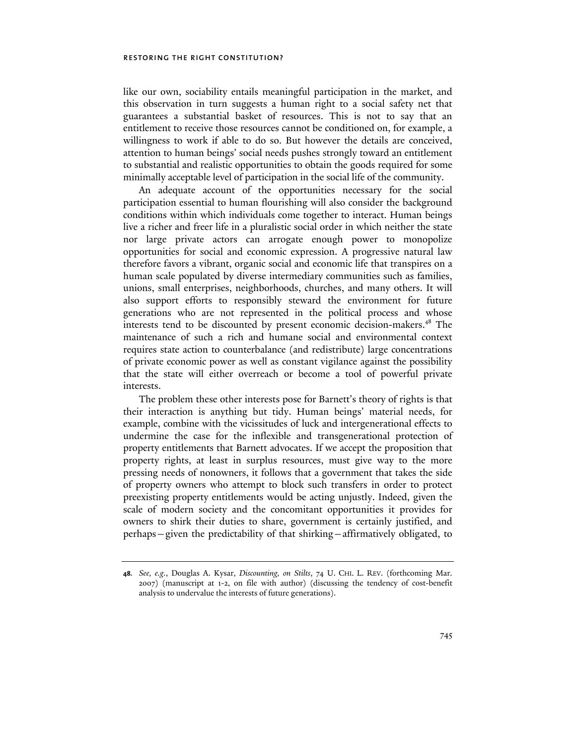like our own, sociability entails meaningful participation in the market, and this observation in turn suggests a human right to a social safety net that guarantees a substantial basket of resources. This is not to say that an entitlement to receive those resources cannot be conditioned on, for example, a willingness to work if able to do so. But however the details are conceived, attention to human beings' social needs pushes strongly toward an entitlement to substantial and realistic opportunities to obtain the goods required for some minimally acceptable level of participation in the social life of the community.

An adequate account of the opportunities necessary for the social participation essential to human flourishing will also consider the background conditions within which individuals come together to interact. Human beings live a richer and freer life in a pluralistic social order in which neither the state nor large private actors can arrogate enough power to monopolize opportunities for social and economic expression. A progressive natural law therefore favors a vibrant, organic social and economic life that transpires on a human scale populated by diverse intermediary communities such as families, unions, small enterprises, neighborhoods, churches, and many others. It will also support efforts to responsibly steward the environment for future generations who are not represented in the political process and whose interests tend to be discounted by present economic decision-makers.<sup>48</sup> The maintenance of such a rich and humane social and environmental context requires state action to counterbalance (and redistribute) large concentrations of private economic power as well as constant vigilance against the possibility that the state will either overreach or become a tool of powerful private interests.

The problem these other interests pose for Barnett's theory of rights is that their interaction is anything but tidy. Human beings' material needs, for example, combine with the vicissitudes of luck and intergenerational effects to undermine the case for the inflexible and transgenerational protection of property entitlements that Barnett advocates. If we accept the proposition that property rights, at least in surplus resources, must give way to the more pressing needs of nonowners, it follows that a government that takes the side of property owners who attempt to block such transfers in order to protect preexisting property entitlements would be acting unjustly. Indeed, given the scale of modern society and the concomitant opportunities it provides for owners to shirk their duties to share, government is certainly justified, and perhaps—given the predictability of that shirking—affirmatively obligated, to

**<sup>48.</sup>** *See, e.g.*, Douglas A. Kysar, *Discounting, on Stilts*, 74 U. CHI. L. REV. (forthcoming Mar. 2007) (manuscript at 1-2, on file with author) (discussing the tendency of cost-benefit analysis to undervalue the interests of future generations).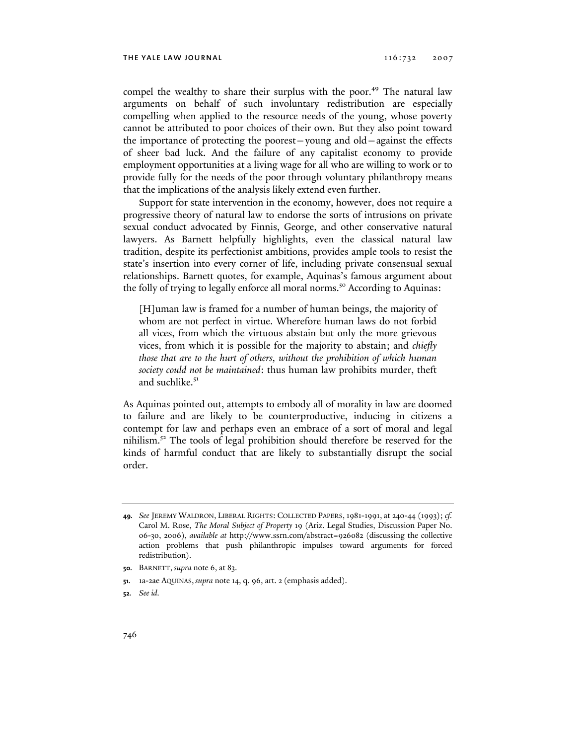compel the wealthy to share their surplus with the poor.<sup>49</sup> The natural law arguments on behalf of such involuntary redistribution are especially compelling when applied to the resource needs of the young, whose poverty cannot be attributed to poor choices of their own. But they also point toward the importance of protecting the poorest—young and old—against the effects of sheer bad luck. And the failure of any capitalist economy to provide employment opportunities at a living wage for all who are willing to work or to provide fully for the needs of the poor through voluntary philanthropy means that the implications of the analysis likely extend even further.

Support for state intervention in the economy, however, does not require a progressive theory of natural law to endorse the sorts of intrusions on private sexual conduct advocated by Finnis, George, and other conservative natural lawyers. As Barnett helpfully highlights, even the classical natural law tradition, despite its perfectionist ambitions, provides ample tools to resist the state's insertion into every corner of life, including private consensual sexual relationships. Barnett quotes, for example, Aquinas's famous argument about the folly of trying to legally enforce all moral norms.<sup>50</sup> According to Aquinas:

[H]uman law is framed for a number of human beings, the majority of whom are not perfect in virtue. Wherefore human laws do not forbid all vices, from which the virtuous abstain but only the more grievous vices, from which it is possible for the majority to abstain; and *chiefly those that are to the hurt of others, without the prohibition of which human society could not be maintained*: thus human law prohibits murder, theft and suchlike.<sup>51</sup>

As Aquinas pointed out, attempts to embody all of morality in law are doomed to failure and are likely to be counterproductive, inducing in citizens a contempt for law and perhaps even an embrace of a sort of moral and legal nihilism. $5<sup>2</sup>$  The tools of legal prohibition should therefore be reserved for the kinds of harmful conduct that are likely to substantially disrupt the social order.

**<sup>49.</sup>** *See* JEREMY WALDRON, LIBERAL RIGHTS: COLLECTED PAPERS, 1981-1991, at 240-44 (1993); *cf.* Carol M. Rose, *The Moral Subject of Property* 19 (Ariz. Legal Studies, Discussion Paper No. 06-30, 2006), *available at* http://www.ssrn.com/abstract=926082 (discussing the collective action problems that push philanthropic impulses toward arguments for forced redistribution).

**<sup>50.</sup>** BARNETT, *supra* note 6, at 83.

**<sup>51.</sup>** 1a-2ae AQUINAS, *supra* note 14, q. 96, art. 2 (emphasis added).

**<sup>52.</sup>** *See id.*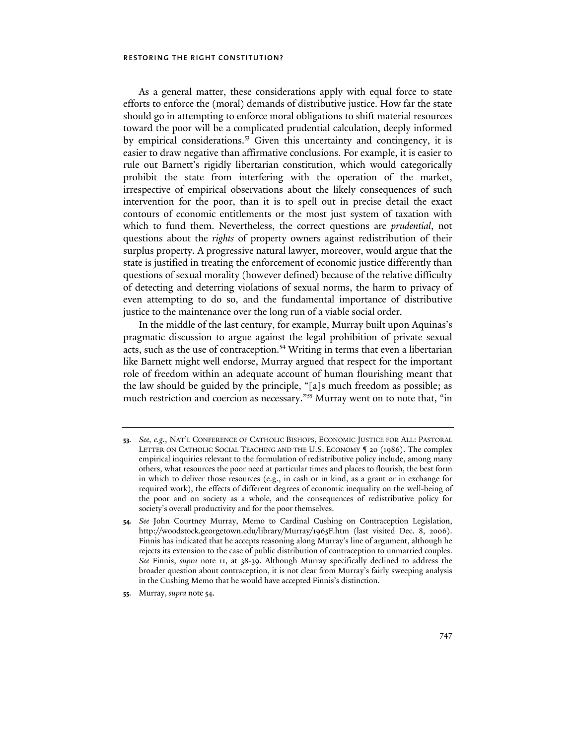As a general matter, these considerations apply with equal force to state efforts to enforce the (moral) demands of distributive justice. How far the state should go in attempting to enforce moral obligations to shift material resources toward the poor will be a complicated prudential calculation, deeply informed by empirical considerations.<sup>53</sup> Given this uncertainty and contingency, it is easier to draw negative than affirmative conclusions. For example, it is easier to rule out Barnett's rigidly libertarian constitution, which would categorically prohibit the state from interfering with the operation of the market, irrespective of empirical observations about the likely consequences of such intervention for the poor, than it is to spell out in precise detail the exact contours of economic entitlements or the most just system of taxation with which to fund them. Nevertheless, the correct questions are *prudential*, not questions about the *rights* of property owners against redistribution of their surplus property. A progressive natural lawyer, moreover, would argue that the state is justified in treating the enforcement of economic justice differently than questions of sexual morality (however defined) because of the relative difficulty of detecting and deterring violations of sexual norms, the harm to privacy of even attempting to do so, and the fundamental importance of distributive justice to the maintenance over the long run of a viable social order.

In the middle of the last century, for example, Murray built upon Aquinas's pragmatic discussion to argue against the legal prohibition of private sexual acts, such as the use of contraception.<sup>54</sup> Writing in terms that even a libertarian like Barnett might well endorse, Murray argued that respect for the important role of freedom within an adequate account of human flourishing meant that the law should be guided by the principle, "[a]s much freedom as possible; as much restriction and coercion as necessary."<sup>55</sup> Murray went on to note that, "in

**55.** Murray, *supra* note 54.

**<sup>53.</sup>** *See, e.g.*, NAT'L CONFERENCE OF CATHOLIC BISHOPS, ECONOMIC JUSTICE FOR ALL: PASTORAL LETTER ON CATHOLIC SOCIAL TEACHING AND THE U.S. ECONOMY ¶ 20 (1986). The complex empirical inquiries relevant to the formulation of redistributive policy include, among many others, what resources the poor need at particular times and places to flourish, the best form in which to deliver those resources (e.g., in cash or in kind, as a grant or in exchange for required work), the effects of different degrees of economic inequality on the well-being of the poor and on society as a whole, and the consequences of redistributive policy for society's overall productivity and for the poor themselves.

**<sup>54.</sup>** *See* John Courtney Murray, Memo to Cardinal Cushing on Contraception Legislation, http://woodstock.georgetown.edu/library/Murray/1965F.htm (last visited Dec. 8, 2006). Finnis has indicated that he accepts reasoning along Murray's line of argument, although he rejects its extension to the case of public distribution of contraception to unmarried couples. *See* Finnis, *supra* note 11, at 38-39. Although Murray specifically declined to address the broader question about contraception, it is not clear from Murray's fairly sweeping analysis in the Cushing Memo that he would have accepted Finnis's distinction.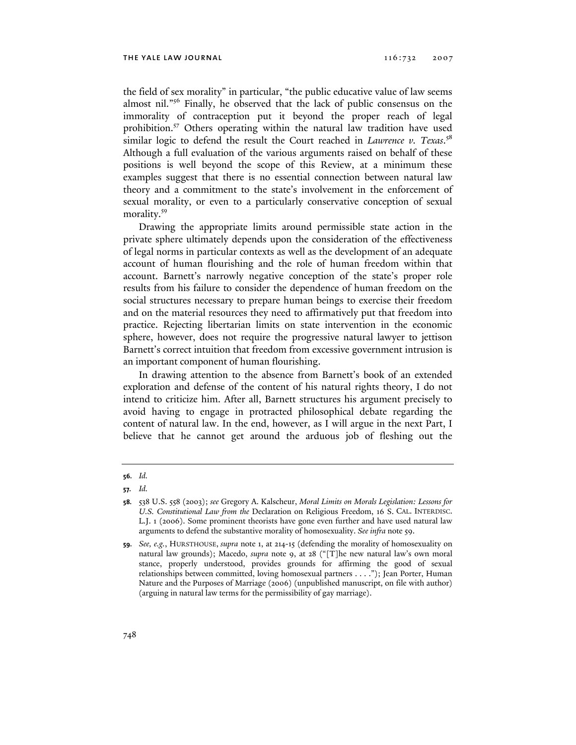the field of sex morality" in particular, "the public educative value of law seems almost nil."56 Finally, he observed that the lack of public consensus on the immorality of contraception put it beyond the proper reach of legal prohibition.<sup>57</sup> Others operating within the natural law tradition have used similar logic to defend the result the Court reached in *Lawrence v. Texas*. 58 Although a full evaluation of the various arguments raised on behalf of these positions is well beyond the scope of this Review, at a minimum these examples suggest that there is no essential connection between natural law theory and a commitment to the state's involvement in the enforcement of sexual morality, or even to a particularly conservative conception of sexual morality.<sup>59</sup>

Drawing the appropriate limits around permissible state action in the private sphere ultimately depends upon the consideration of the effectiveness of legal norms in particular contexts as well as the development of an adequate account of human flourishing and the role of human freedom within that account. Barnett's narrowly negative conception of the state's proper role results from his failure to consider the dependence of human freedom on the social structures necessary to prepare human beings to exercise their freedom and on the material resources they need to affirmatively put that freedom into practice. Rejecting libertarian limits on state intervention in the economic sphere, however, does not require the progressive natural lawyer to jettison Barnett's correct intuition that freedom from excessive government intrusion is an important component of human flourishing.

In drawing attention to the absence from Barnett's book of an extended exploration and defense of the content of his natural rights theory, I do not intend to criticize him. After all, Barnett structures his argument precisely to avoid having to engage in protracted philosophical debate regarding the content of natural law. In the end, however, as I will argue in the next Part, I believe that he cannot get around the arduous job of fleshing out the

**<sup>56.</sup>** *Id.*

**<sup>57.</sup>** *Id.*

**<sup>58.</sup>** 538 U.S. 558 (2003); *see* Gregory A. Kalscheur, *Moral Limits on Morals Legislation: Lessons for U.S. Constitutional Law from the* Declaration on Religious Freedom, 16 S. CAL. INTERDISC. L.J. 1 (2006). Some prominent theorists have gone even further and have used natural law arguments to defend the substantive morality of homosexuality. *See infra* note 59.

**<sup>59.</sup>** *See, e.g.*, HURSTHOUSE, *supra* note 1, at 214-15 (defending the morality of homosexuality on natural law grounds); Macedo, *supra* note 9, at 28 ("[T]he new natural law's own moral stance, properly understood, provides grounds for affirming the good of sexual relationships between committed, loving homosexual partners . . . ."); Jean Porter, Human Nature and the Purposes of Marriage (2006) (unpublished manuscript, on file with author) (arguing in natural law terms for the permissibility of gay marriage).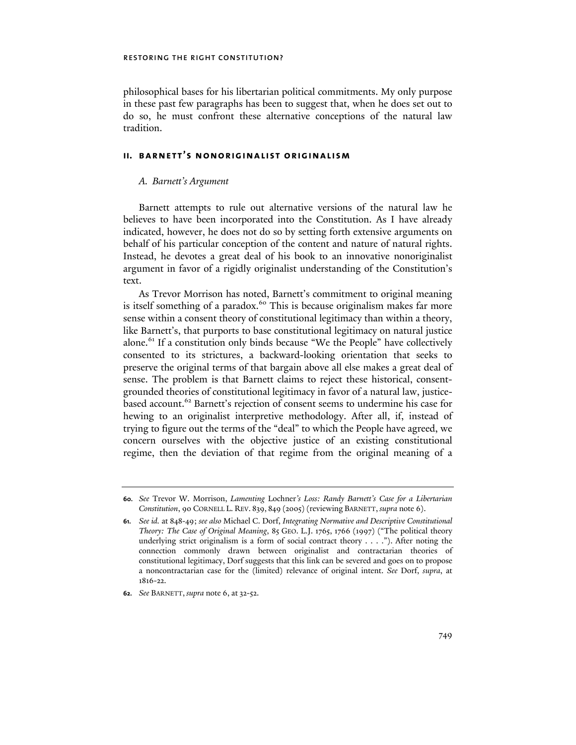philosophical bases for his libertarian political commitments. My only purpose in these past few paragraphs has been to suggest that, when he does set out to do so, he must confront these alternative conceptions of the natural law tradition.

#### **ii. barnett's nonoriginalist originalism**

#### *A. Barnett's Argument*

Barnett attempts to rule out alternative versions of the natural law he believes to have been incorporated into the Constitution. As I have already indicated, however, he does not do so by setting forth extensive arguments on behalf of his particular conception of the content and nature of natural rights. Instead, he devotes a great deal of his book to an innovative nonoriginalist argument in favor of a rigidly originalist understanding of the Constitution's text.

As Trevor Morrison has noted, Barnett's commitment to original meaning is itself something of a paradox.<sup>60</sup> This is because originalism makes far more sense within a consent theory of constitutional legitimacy than within a theory, like Barnett's, that purports to base constitutional legitimacy on natural justice alone.<sup>61</sup> If a constitution only binds because "We the People" have collectively consented to its strictures, a backward-looking orientation that seeks to preserve the original terms of that bargain above all else makes a great deal of sense. The problem is that Barnett claims to reject these historical, consentgrounded theories of constitutional legitimacy in favor of a natural law, justicebased account.<sup>62</sup> Barnett's rejection of consent seems to undermine his case for hewing to an originalist interpretive methodology. After all, if, instead of trying to figure out the terms of the "deal" to which the People have agreed, we concern ourselves with the objective justice of an existing constitutional regime, then the deviation of that regime from the original meaning of a

**<sup>60.</sup>** *See* Trevor W. Morrison, *Lamenting* Lochner*'s Loss: Randy Barnett's Case for a Libertarian Constitution*, 90 CORNELL L. REV. 839, 849 (2005)(reviewing BARNETT, *supra* note 6).

**<sup>61.</sup>** *See id.* at 848-49; *see also* Michael C. Dorf, *Integrating Normative and Descriptive Constitutional Theory: The Case of Original Meaning*, 85 GEO. L.J. 1765, 1766 (1997) ("The political theory underlying strict originalism is a form of social contract theory . . . ."). After noting the connection commonly drawn between originalist and contractarian theories of constitutional legitimacy, Dorf suggests that this link can be severed and goes on to propose a noncontractarian case for the (limited) relevance of original intent. *See* Dorf, *supra*, at 1816-22.

**<sup>62.</sup>** *See* BARNETT, *supra* note 6, at 32-52.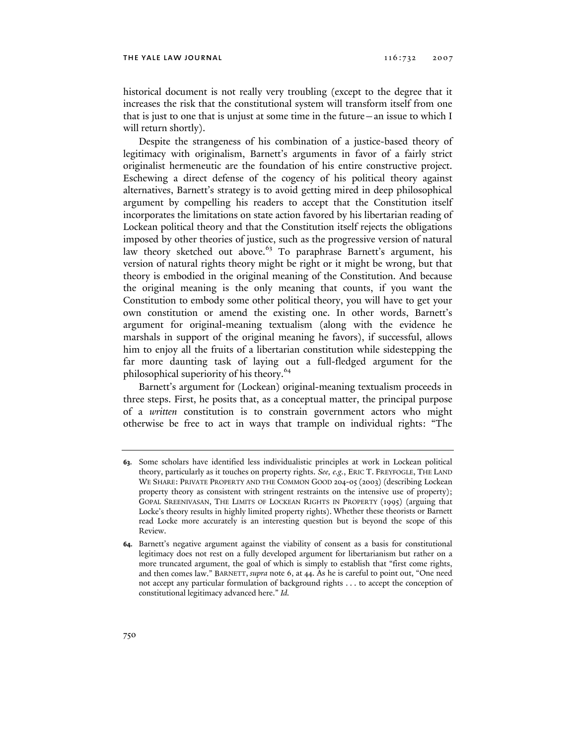historical document is not really very troubling (except to the degree that it increases the risk that the constitutional system will transform itself from one that is just to one that is unjust at some time in the future—an issue to which I will return shortly).

Despite the strangeness of his combination of a justice-based theory of legitimacy with originalism, Barnett's arguments in favor of a fairly strict originalist hermeneutic are the foundation of his entire constructive project. Eschewing a direct defense of the cogency of his political theory against alternatives, Barnett's strategy is to avoid getting mired in deep philosophical argument by compelling his readers to accept that the Constitution itself incorporates the limitations on state action favored by his libertarian reading of Lockean political theory and that the Constitution itself rejects the obligations imposed by other theories of justice, such as the progressive version of natural law theory sketched out above.<sup>63</sup> To paraphrase Barnett's argument, his version of natural rights theory might be right or it might be wrong, but that theory is embodied in the original meaning of the Constitution. And because the original meaning is the only meaning that counts, if you want the Constitution to embody some other political theory, you will have to get your own constitution or amend the existing one. In other words, Barnett's argument for original-meaning textualism (along with the evidence he marshals in support of the original meaning he favors), if successful, allows him to enjoy all the fruits of a libertarian constitution while sidestepping the far more daunting task of laying out a full-fledged argument for the philosophical superiority of his theory.<sup>64</sup>

Barnett's argument for (Lockean) original-meaning textualism proceeds in three steps. First, he posits that, as a conceptual matter, the principal purpose of a *written* constitution is to constrain government actors who might otherwise be free to act in ways that trample on individual rights: "The

**<sup>63.</sup>** Some scholars have identified less individualistic principles at work in Lockean political theory, particularly as it touches on property rights. *See, e.g.*, ERIC T. FREYFOGLE, THE LAND WE SHARE: PRIVATE PROPERTY AND THE COMMON GOOD 204-05 (2003) (describing Lockean property theory as consistent with stringent restraints on the intensive use of property); GOPAL SREENIVASAN, THE LIMITS OF LOCKEAN RIGHTS IN PROPERTY (1995) (arguing that Locke's theory results in highly limited property rights). Whether these theorists or Barnett read Locke more accurately is an interesting question but is beyond the scope of this Review.

**<sup>64.</sup>** Barnett's negative argument against the viability of consent as a basis for constitutional legitimacy does not rest on a fully developed argument for libertarianism but rather on a more truncated argument, the goal of which is simply to establish that "first come rights, and then comes law." BARNETT, *supra* note 6, at 44. As he is careful to point out, "One need not accept any particular formulation of background rights . . . to accept the conception of constitutional legitimacy advanced here." *Id.*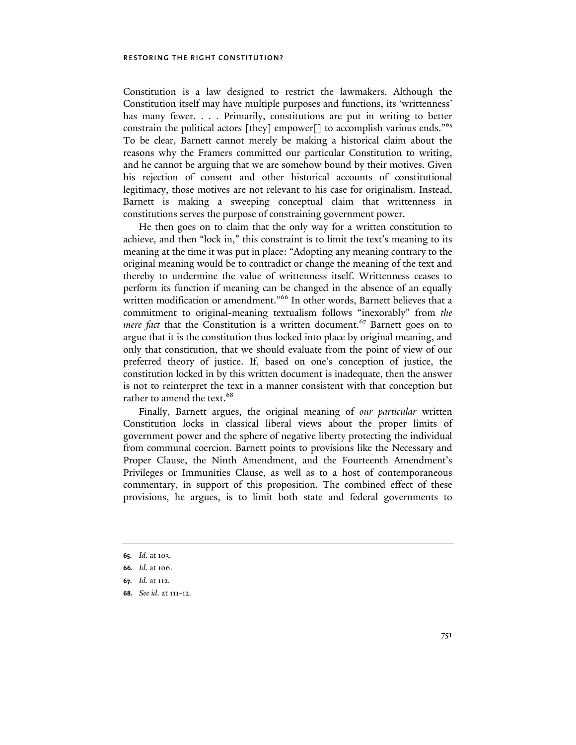Constitution is a law designed to restrict the lawmakers. Although the Constitution itself may have multiple purposes and functions, its 'writtenness' has many fewer. . . . Primarily, constitutions are put in writing to better constrain the political actors [they] empower[] to accomplish various ends."<sup>65</sup> To be clear, Barnett cannot merely be making a historical claim about the reasons why the Framers committed our particular Constitution to writing, and he cannot be arguing that we are somehow bound by their motives. Given his rejection of consent and other historical accounts of constitutional legitimacy, those motives are not relevant to his case for originalism. Instead, Barnett is making a sweeping conceptual claim that writtenness in constitutions serves the purpose of constraining government power.

He then goes on to claim that the only way for a written constitution to achieve, and then "lock in," this constraint is to limit the text's meaning to its meaning at the time it was put in place: "Adopting any meaning contrary to the original meaning would be to contradict or change the meaning of the text and thereby to undermine the value of writtenness itself. Writtenness ceases to perform its function if meaning can be changed in the absence of an equally written modification or amendment."<sup>66</sup> In other words, Barnett believes that a commitment to original-meaning textualism follows "inexorably" from *the mere fact* that the Constitution is a written document.<sup>67</sup> Barnett goes on to argue that it is the constitution thus locked into place by original meaning, and only that constitution, that we should evaluate from the point of view of our preferred theory of justice. If, based on one's conception of justice, the constitution locked in by this written document is inadequate, then the answer is not to reinterpret the text in a manner consistent with that conception but rather to amend the text.<sup>68</sup>

Finally, Barnett argues, the original meaning of *our particular* written Constitution locks in classical liberal views about the proper limits of government power and the sphere of negative liberty protecting the individual from communal coercion. Barnett points to provisions like the Necessary and Proper Clause, the Ninth Amendment, and the Fourteenth Amendment's Privileges or Immunities Clause, as well as to a host of contemporaneous commentary, in support of this proposition. The combined effect of these provisions, he argues, is to limit both state and federal governments to

**<sup>65.</sup>** *Id.* at 103.

**<sup>66.</sup>** *Id.* at 106.

**<sup>67.</sup>** *Id.* at 112.

**<sup>68.</sup>** *See id.* at 111-12.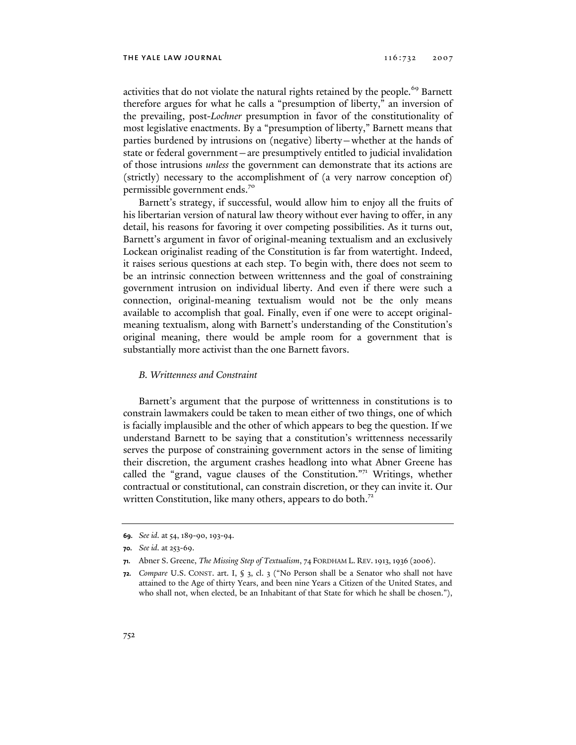activities that do not violate the natural rights retained by the people.<sup>69</sup> Barnett therefore argues for what he calls a "presumption of liberty," an inversion of the prevailing, post-*Lochner* presumption in favor of the constitutionality of most legislative enactments. By a "presumption of liberty," Barnett means that parties burdened by intrusions on (negative) liberty—whether at the hands of state or federal government—are presumptively entitled to judicial invalidation of those intrusions *unless* the government can demonstrate that its actions are (strictly) necessary to the accomplishment of (a very narrow conception of) permissible government ends.70

Barnett's strategy, if successful, would allow him to enjoy all the fruits of his libertarian version of natural law theory without ever having to offer, in any detail, his reasons for favoring it over competing possibilities. As it turns out, Barnett's argument in favor of original-meaning textualism and an exclusively Lockean originalist reading of the Constitution is far from watertight. Indeed, it raises serious questions at each step. To begin with, there does not seem to be an intrinsic connection between writtenness and the goal of constraining government intrusion on individual liberty. And even if there were such a connection, original-meaning textualism would not be the only means available to accomplish that goal. Finally, even if one were to accept originalmeaning textualism, along with Barnett's understanding of the Constitution's original meaning, there would be ample room for a government that is substantially more activist than the one Barnett favors.

#### *B. Writtenness and Constraint*

Barnett's argument that the purpose of writtenness in constitutions is to constrain lawmakers could be taken to mean either of two things, one of which is facially implausible and the other of which appears to beg the question. If we understand Barnett to be saying that a constitution's writtenness necessarily serves the purpose of constraining government actors in the sense of limiting their discretion, the argument crashes headlong into what Abner Greene has called the "grand, vague clauses of the Constitution."71 Writings, whether contractual or constitutional, can constrain discretion, or they can invite it. Our written Constitution, like many others, appears to do both.<sup>72</sup>

**<sup>69.</sup>** *See id.* at 54, 189-90, 193-94.

**<sup>70.</sup>** *See id.* at 253-69.

**<sup>71.</sup>** Abner S. Greene, *The Missing Step of Textualism*, 74 FORDHAM L. REV.1913,1936 (2006).

**<sup>72.</sup>** *Compare* U.S. CONST. art. I, § 3, cl. 3 ("No Person shall be a Senator who shall not have attained to the Age of thirty Years, and been nine Years a Citizen of the United States, and who shall not, when elected, be an Inhabitant of that State for which he shall be chosen."),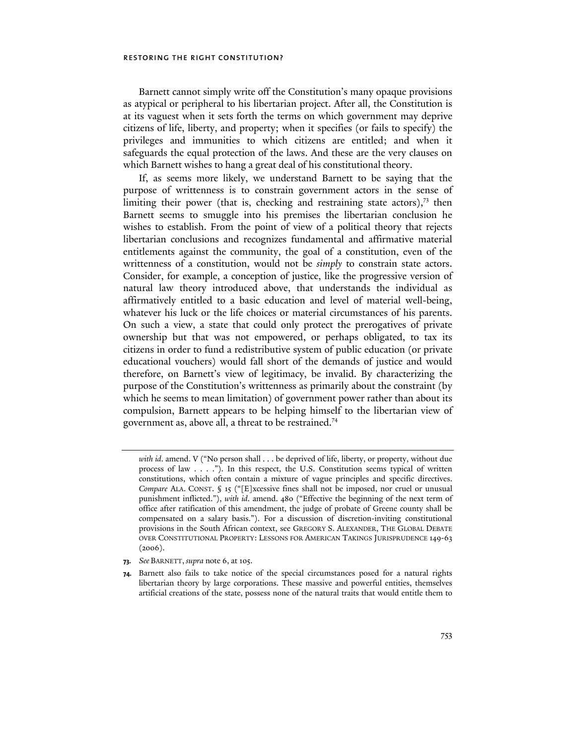Barnett cannot simply write off the Constitution's many opaque provisions as atypical or peripheral to his libertarian project. After all, the Constitution is at its vaguest when it sets forth the terms on which government may deprive citizens of life, liberty, and property; when it specifies (or fails to specify) the privileges and immunities to which citizens are entitled; and when it safeguards the equal protection of the laws. And these are the very clauses on which Barnett wishes to hang a great deal of his constitutional theory.

If, as seems more likely, we understand Barnett to be saying that the purpose of writtenness is to constrain government actors in the sense of limiting their power (that is, checking and restraining state actors), $73$  then Barnett seems to smuggle into his premises the libertarian conclusion he wishes to establish. From the point of view of a political theory that rejects libertarian conclusions and recognizes fundamental and affirmative material entitlements against the community, the goal of a constitution, even of the writtenness of a constitution, would not be *simply* to constrain state actors. Consider, for example, a conception of justice, like the progressive version of natural law theory introduced above, that understands the individual as affirmatively entitled to a basic education and level of material well-being, whatever his luck or the life choices or material circumstances of his parents. On such a view, a state that could only protect the prerogatives of private ownership but that was not empowered, or perhaps obligated, to tax its citizens in order to fund a redistributive system of public education (or private educational vouchers) would fall short of the demands of justice and would therefore, on Barnett's view of legitimacy, be invalid. By characterizing the purpose of the Constitution's writtenness as primarily about the constraint (by which he seems to mean limitation) of government power rather than about its compulsion, Barnett appears to be helping himself to the libertarian view of government as, above all, a threat to be restrained.<sup>74</sup>

- **73.** *See* BARNETT, *supra* note 6, at 105.
- **74.** Barnett also fails to take notice of the special circumstances posed for a natural rights libertarian theory by large corporations. These massive and powerful entities, themselves artificial creations of the state, possess none of the natural traits that would entitle them to

*with id*. amend. V ("No person shall . . . be deprived of life, liberty, or property, without due process of law . . . ."). In this respect, the U.S. Constitution seems typical of written constitutions, which often contain a mixture of vague principles and specific directives. *Compare* ALA. CONST. § 15 ("[E]xcessive fines shall not be imposed, nor cruel or unusual punishment inflicted."), *with id*. amend. 480 ("Effective the beginning of the next term of office after ratification of this amendment, the judge of probate of Greene county shall be compensated on a salary basis."). For a discussion of discretion-inviting constitutional provisions in the South African context, see GREGORY S. ALEXANDER, THE GLOBAL DEBATE OVER CONSTITUTIONAL PROPERTY: LESSONS FOR AMERICAN TAKINGS JURISPRUDENCE 149-63  $(2006).$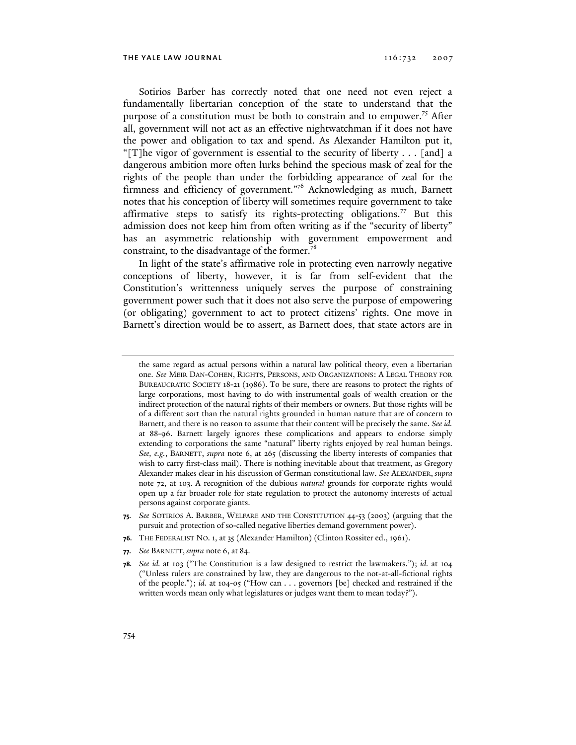Sotirios Barber has correctly noted that one need not even reject a fundamentally libertarian conception of the state to understand that the purpose of a constitution must be both to constrain and to empower.75 After all, government will not act as an effective nightwatchman if it does not have the power and obligation to tax and spend. As Alexander Hamilton put it, "[T]he vigor of government is essential to the security of liberty  $\dots$  [and] a dangerous ambition more often lurks behind the specious mask of zeal for the rights of the people than under the forbidding appearance of zeal for the firmness and efficiency of government."<sup>76</sup> Acknowledging as much, Barnett notes that his conception of liberty will sometimes require government to take affirmative steps to satisfy its rights-protecting obligations.<sup>77</sup> But this admission does not keep him from often writing as if the "security of liberty" has an asymmetric relationship with government empowerment and constraint, to the disadvantage of the former. $^{78}$ 

In light of the state's affirmative role in protecting even narrowly negative conceptions of liberty, however, it is far from self-evident that the Constitution's writtenness uniquely serves the purpose of constraining government power such that it does not also serve the purpose of empowering (or obligating) government to act to protect citizens' rights. One move in Barnett's direction would be to assert, as Barnett does, that state actors are in

the same regard as actual persons within a natural law political theory, even a libertarian one. *See* MEIR DAN-COHEN, RIGHTS, PERSONS, AND ORGANIZATIONS: A LEGAL THEORY FOR BUREAUCRATIC SOCIETY 18-21 (1986). To be sure, there are reasons to protect the rights of large corporations, most having to do with instrumental goals of wealth creation or the indirect protection of the natural rights of their members or owners. But those rights will be of a different sort than the natural rights grounded in human nature that are of concern to Barnett, and there is no reason to assume that their content will be precisely the same. *See id.*  at 88-96. Barnett largely ignores these complications and appears to endorse simply extending to corporations the same "natural" liberty rights enjoyed by real human beings. *See, e.g.*, BARNETT, *supra* note 6, at 265 (discussing the liberty interests of companies that wish to carry first-class mail). There is nothing inevitable about that treatment, as Gregory Alexander makes clear in his discussion of German constitutional law. *See* ALEXANDER, *supra*  note 72, at 103. A recognition of the dubious *natural* grounds for corporate rights would open up a far broader role for state regulation to protect the autonomy interests of actual persons against corporate giants.

- **75.** *See* SOTIRIOS A. BARBER, WELFARE AND THE CONSTITUTION 44-53 (2003) (arguing that the pursuit and protection of so-called negative liberties demand government power).
- **76.** THE FEDERALIST NO. 1, at 35 (Alexander Hamilton) (Clinton Rossiter ed., 1961).
- **77.** *See* BARNETT, *supra* note 6, at 84.

**<sup>78.</sup>** *See id.* at 103 ("The Constitution is a law designed to restrict the lawmakers."); *id.* at 104 ("Unless rulers are constrained by law, they are dangerous to the not-at-all-fictional rights of the people."); *id.* at 104-05 ("How can . . . governors [be] checked and restrained if the written words mean only what legislatures or judges want them to mean today?").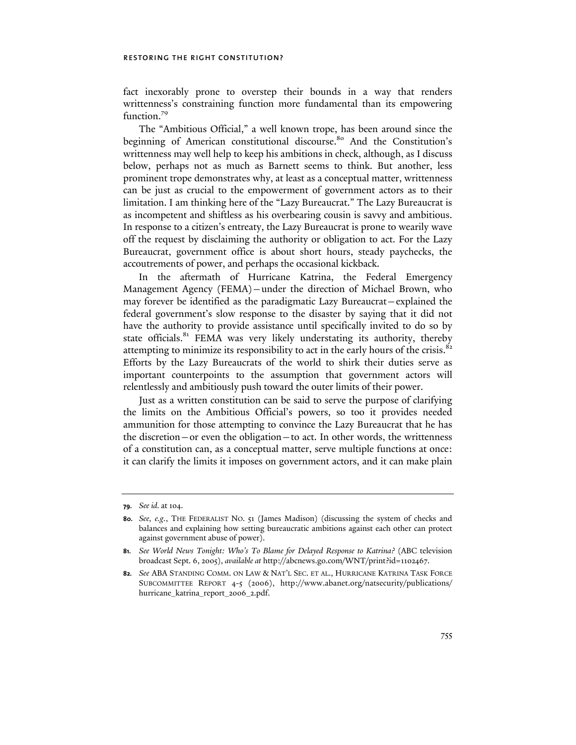fact inexorably prone to overstep their bounds in a way that renders writtenness's constraining function more fundamental than its empowering function.<sup>79</sup>

The "Ambitious Official," a well known trope, has been around since the beginning of American constitutional discourse.<sup>80</sup> And the Constitution's writtenness may well help to keep his ambitions in check, although, as I discuss below, perhaps not as much as Barnett seems to think. But another, less prominent trope demonstrates why, at least as a conceptual matter, writtenness can be just as crucial to the empowerment of government actors as to their limitation. I am thinking here of the "Lazy Bureaucrat." The Lazy Bureaucrat is as incompetent and shiftless as his overbearing cousin is savvy and ambitious. In response to a citizen's entreaty, the Lazy Bureaucrat is prone to wearily wave off the request by disclaiming the authority or obligation to act. For the Lazy Bureaucrat, government office is about short hours, steady paychecks, the accoutrements of power, and perhaps the occasional kickback.

In the aftermath of Hurricane Katrina, the Federal Emergency Management Agency (FEMA)—under the direction of Michael Brown, who may forever be identified as the paradigmatic Lazy Bureaucrat—explained the federal government's slow response to the disaster by saying that it did not have the authority to provide assistance until specifically invited to do so by state officials.<sup>81</sup> FEMA was very likely understating its authority, thereby attempting to minimize its responsibility to act in the early hours of the crisis.<sup>82</sup> Efforts by the Lazy Bureaucrats of the world to shirk their duties serve as important counterpoints to the assumption that government actors will relentlessly and ambitiously push toward the outer limits of their power.

Just as a written constitution can be said to serve the purpose of clarifying the limits on the Ambitious Official's powers, so too it provides needed ammunition for those attempting to convince the Lazy Bureaucrat that he has the discretion—or even the obligation—to act. In other words, the writtenness of a constitution can, as a conceptual matter, serve multiple functions at once: it can clarify the limits it imposes on government actors, and it can make plain

**<sup>79.</sup>** *See id.* at 104.

**<sup>80.</sup>** *See, e.g.*, THE FEDERALIST NO. 51 (James Madison) (discussing the system of checks and balances and explaining how setting bureaucratic ambitions against each other can protect against government abuse of power).

**<sup>81.</sup>** *See World News Tonight: Who's To Blame for Delayed Response to Katrina?* (ABC television broadcast Sept. 6, 2005), *available at* http://abcnews.go.com/WNT/print?id=1102467.

**<sup>82.</sup>** *See* ABA STANDING COMM. ON LAW & NAT'L SEC. ET AL., HURRICANE KATRINA TASK FORCE SUBCOMMITTEE REPORT 4-5 (2006), http://www.abanet.org/natsecurity/publications/ hurricane\_katrina\_report\_2006\_2.pdf.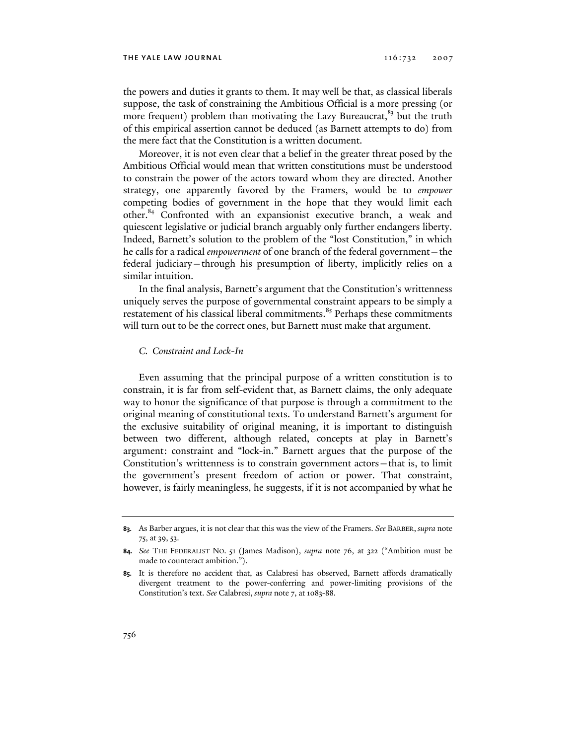the powers and duties it grants to them. It may well be that, as classical liberals suppose, the task of constraining the Ambitious Official is a more pressing (or more frequent) problem than motivating the Lazy Bureaucrat,<sup>83</sup> but the truth of this empirical assertion cannot be deduced (as Barnett attempts to do) from the mere fact that the Constitution is a written document.

Moreover, it is not even clear that a belief in the greater threat posed by the Ambitious Official would mean that written constitutions must be understood to constrain the power of the actors toward whom they are directed. Another strategy, one apparently favored by the Framers, would be to *empower* competing bodies of government in the hope that they would limit each other.84 Confronted with an expansionist executive branch, a weak and quiescent legislative or judicial branch arguably only further endangers liberty. Indeed, Barnett's solution to the problem of the "lost Constitution," in which he calls for a radical *empowerment* of one branch of the federal government—the federal judiciary—through his presumption of liberty, implicitly relies on a similar intuition.

In the final analysis, Barnett's argument that the Constitution's writtenness uniquely serves the purpose of governmental constraint appears to be simply a restatement of his classical liberal commitments.<sup>85</sup> Perhaps these commitments will turn out to be the correct ones, but Barnett must make that argument.

#### *C. Constraint and Lock-In*

Even assuming that the principal purpose of a written constitution is to constrain, it is far from self-evident that, as Barnett claims, the only adequate way to honor the significance of that purpose is through a commitment to the original meaning of constitutional texts. To understand Barnett's argument for the exclusive suitability of original meaning, it is important to distinguish between two different, although related, concepts at play in Barnett's argument: constraint and "lock-in." Barnett argues that the purpose of the Constitution's writtenness is to constrain government actors—that is, to limit the government's present freedom of action or power. That constraint, however, is fairly meaningless, he suggests, if it is not accompanied by what he

**<sup>83.</sup>** As Barber argues, it is not clear that this was the view of the Framers. *See* BARBER, *supra* note 75, at 39, 53.

**<sup>84.</sup>** *See* THE FEDERALIST NO. 51 (James Madison), *supra* note 76, at 322 ("Ambition must be made to counteract ambition.").

**<sup>85.</sup>** It is therefore no accident that, as Calabresi has observed, Barnett affords dramatically divergent treatment to the power-conferring and power-limiting provisions of the Constitution's text. *See* Calabresi, *supra* note 7, at 1083-88.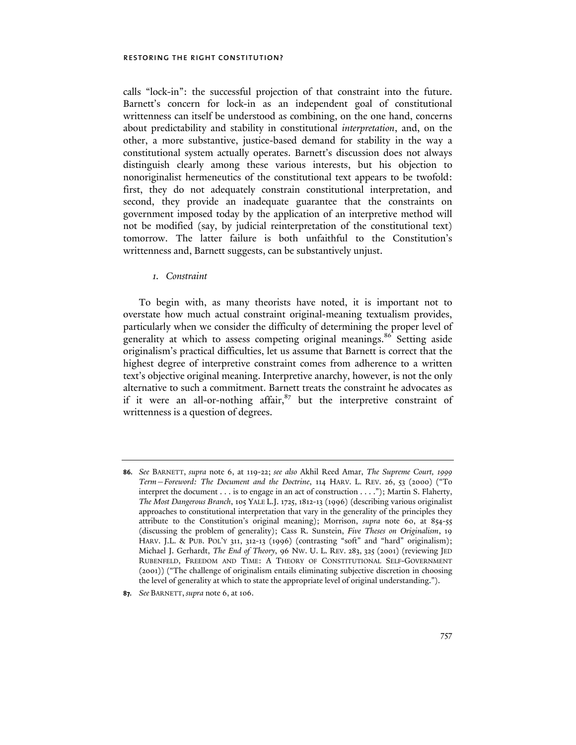calls "lock-in": the successful projection of that constraint into the future. Barnett's concern for lock-in as an independent goal of constitutional writtenness can itself be understood as combining, on the one hand, concerns about predictability and stability in constitutional *interpretation*, and, on the other, a more substantive, justice-based demand for stability in the way a constitutional system actually operates. Barnett's discussion does not always distinguish clearly among these various interests, but his objection to nonoriginalist hermeneutics of the constitutional text appears to be twofold: first, they do not adequately constrain constitutional interpretation, and second, they provide an inadequate guarantee that the constraints on government imposed today by the application of an interpretive method will not be modified (say, by judicial reinterpretation of the constitutional text) tomorrow. The latter failure is both unfaithful to the Constitution's writtenness and, Barnett suggests, can be substantively unjust.

#### *1. Constraint*

To begin with, as many theorists have noted, it is important not to overstate how much actual constraint original-meaning textualism provides, particularly when we consider the difficulty of determining the proper level of generality at which to assess competing original meanings.<sup>86</sup> Setting aside originalism's practical difficulties, let us assume that Barnett is correct that the highest degree of interpretive constraint comes from adherence to a written text's objective original meaning. Interpretive anarchy, however, is not the only alternative to such a commitment. Barnett treats the constraint he advocates as if it were an all-or-nothing affair, $87$  but the interpretive constraint of writtenness is a question of degrees.

**<sup>86.</sup>** *See* BARNETT, *supra* note 6, at 119-22; *see also* Akhil Reed Amar, *The Supreme Court, 1999 Term—Foreword: The Document and the Doctrine*, 114 HARV. L. REV. 26, 53 (2000) ("To interpret the document . . . is to engage in an act of construction . . . ."); Martin S. Flaherty, *The Most Dangerous Branch*, 105 YALE L.J. 1725, 1812-13 (1996) (describing various originalist approaches to constitutional interpretation that vary in the generality of the principles they attribute to the Constitution's original meaning); Morrison, *supra* note 60, at 854-55 (discussing the problem of generality); Cass R. Sunstein, *Five Theses on Originalism*, 19 HARV. J.L. & PUB. POL'Y 311, 312-13 (1996) (contrasting "soft" and "hard" originalism); Michael J. Gerhardt, *The End of Theory*, 96 NW. U. L. REV. 283, 325 (2001) (reviewing JED RUBENFELD, FREEDOM AND TIME: A THEORY OF CONSTITUTIONAL SELF-GOVERNMENT (2001)) ("The challenge of originalism entails eliminating subjective discretion in choosing the level of generality at which to state the appropriate level of original understanding.").

**<sup>87.</sup>** *See* BARNETT, *supra* note 6, at 106.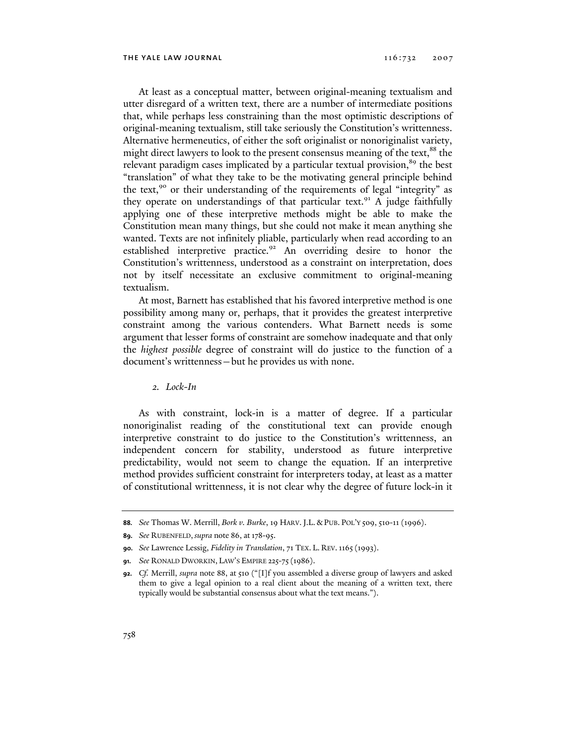At least as a conceptual matter, between original-meaning textualism and utter disregard of a written text, there are a number of intermediate positions that, while perhaps less constraining than the most optimistic descriptions of original-meaning textualism, still take seriously the Constitution's writtenness. Alternative hermeneutics, of either the soft originalist or nonoriginalist variety, might direct lawyers to look to the present consensus meaning of the text, $88$  the relevant paradigm cases implicated by a particular textual provision,<sup>89</sup> the best "translation" of what they take to be the motivating general principle behind the text,<sup>90</sup> or their understanding of the requirements of legal "integrity" as they operate on understandings of that particular text.<sup>91</sup> A judge faithfully applying one of these interpretive methods might be able to make the Constitution mean many things, but she could not make it mean anything she wanted. Texts are not infinitely pliable, particularly when read according to an established interpretive practice.<sup>92</sup> An overriding desire to honor the Constitution's writtenness, understood as a constraint on interpretation, does not by itself necessitate an exclusive commitment to original-meaning textualism.

At most, Barnett has established that his favored interpretive method is one possibility among many or, perhaps, that it provides the greatest interpretive constraint among the various contenders. What Barnett needs is some argument that lesser forms of constraint are somehow inadequate and that only the *highest possible* degree of constraint will do justice to the function of a document's writtenness—but he provides us with none.

*2. Lock-In* 

As with constraint, lock-in is a matter of degree. If a particular nonoriginalist reading of the constitutional text can provide enough interpretive constraint to do justice to the Constitution's writtenness, an independent concern for stability, understood as future interpretive predictability, would not seem to change the equation. If an interpretive method provides sufficient constraint for interpreters today, at least as a matter of constitutional writtenness, it is not clear why the degree of future lock-in it

**<sup>88.</sup>** *See* Thomas W. Merrill, *Bork v. Burke*, 19 HARV.J.L. & PUB. POL'Y 509, 510-11 (1996).

**<sup>89.</sup>** *See* RUBENFELD, *supra* note 86, at 178-95.

**<sup>90.</sup>** *See* Lawrence Lessig, *Fidelity in Translation*, 71 TEX. L. REV.1165(1993).

**<sup>91.</sup>** *See* RONALD DWORKIN, LAW'S EMPIRE 225-75(1986).

**<sup>92.</sup>** *Cf.* Merrill, *supra* note 88, at 510 ("[I]f you assembled a diverse group of lawyers and asked them to give a legal opinion to a real client about the meaning of a written text, there typically would be substantial consensus about what the text means.").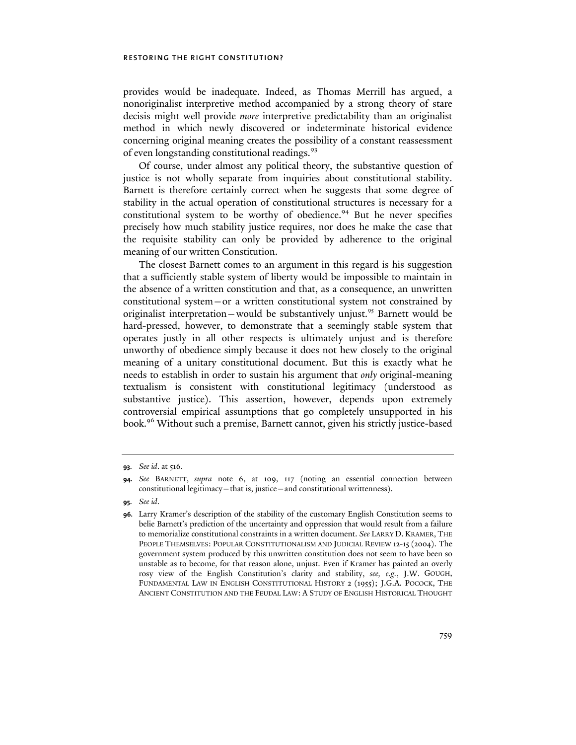provides would be inadequate. Indeed, as Thomas Merrill has argued, a nonoriginalist interpretive method accompanied by a strong theory of stare decisis might well provide *more* interpretive predictability than an originalist method in which newly discovered or indeterminate historical evidence concerning original meaning creates the possibility of a constant reassessment of even longstanding constitutional readings.<sup>93</sup>

Of course, under almost any political theory, the substantive question of justice is not wholly separate from inquiries about constitutional stability. Barnett is therefore certainly correct when he suggests that some degree of stability in the actual operation of constitutional structures is necessary for a constitutional system to be worthy of obedience.<sup>94</sup> But he never specifies precisely how much stability justice requires, nor does he make the case that the requisite stability can only be provided by adherence to the original meaning of our written Constitution.

The closest Barnett comes to an argument in this regard is his suggestion that a sufficiently stable system of liberty would be impossible to maintain in the absence of a written constitution and that, as a consequence, an unwritten constitutional system—or a written constitutional system not constrained by originalist interpretation—would be substantively unjust.<sup>95</sup> Barnett would be hard-pressed, however, to demonstrate that a seemingly stable system that operates justly in all other respects is ultimately unjust and is therefore unworthy of obedience simply because it does not hew closely to the original meaning of a unitary constitutional document. But this is exactly what he needs to establish in order to sustain his argument that *only* original-meaning textualism is consistent with constitutional legitimacy (understood as substantive justice). This assertion, however, depends upon extremely controversial empirical assumptions that go completely unsupported in his book.96 Without such a premise, Barnett cannot, given his strictly justice-based

**95.** *See id*.

**<sup>93.</sup>** *See id*. at 516.

**<sup>94.</sup>** *See* BARNETT, *supra* note 6, at 109, 117 (noting an essential connection between constitutional legitimacy—that is, justice—and constitutional writtenness).

**<sup>96.</sup>** Larry Kramer's description of the stability of the customary English Constitution seems to belie Barnett's prediction of the uncertainty and oppression that would result from a failure to memorialize constitutional constraints in a written document. *See* LARRY D. KRAMER, THE PEOPLE THEMSELVES: POPULAR CONSTITUTIONALISM AND JUDICIAL REVIEW 12-15 (2004). The government system produced by this unwritten constitution does not seem to have been so unstable as to become, for that reason alone, unjust. Even if Kramer has painted an overly rosy view of the English Constitution's clarity and stability, *see, e.g.*, J.W. GOUGH, FUNDAMENTAL LAW IN ENGLISH CONSTITUTIONAL HISTORY 2 (1955); J.G.A. POCOCK, THE ANCIENT CONSTITUTION AND THE FEUDAL LAW: A STUDY OF ENGLISH HISTORICAL THOUGHT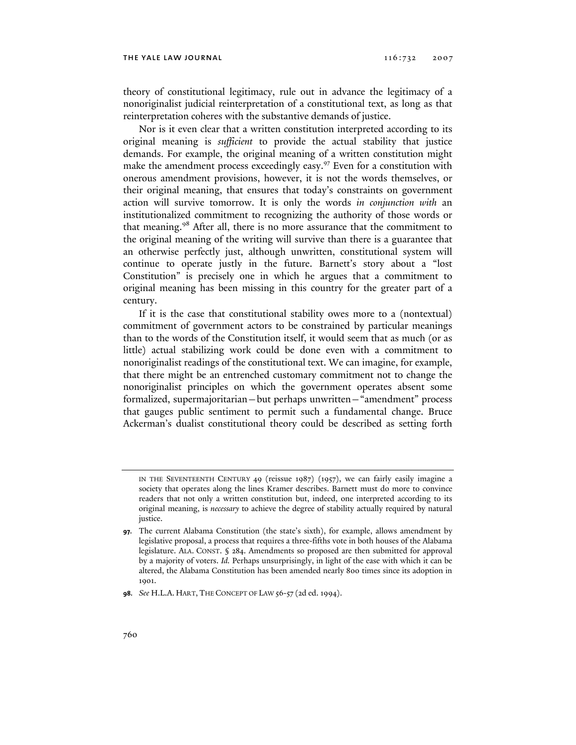theory of constitutional legitimacy, rule out in advance the legitimacy of a nonoriginalist judicial reinterpretation of a constitutional text, as long as that reinterpretation coheres with the substantive demands of justice.

Nor is it even clear that a written constitution interpreted according to its original meaning is *sufficient* to provide the actual stability that justice demands. For example, the original meaning of a written constitution might make the amendment process exceedingly easy.<sup>97</sup> Even for a constitution with onerous amendment provisions, however, it is not the words themselves, or their original meaning, that ensures that today's constraints on government action will survive tomorrow. It is only the words *in conjunction with* an institutionalized commitment to recognizing the authority of those words or that meaning.98 After all, there is no more assurance that the commitment to the original meaning of the writing will survive than there is a guarantee that an otherwise perfectly just, although unwritten, constitutional system will continue to operate justly in the future. Barnett's story about a "lost Constitution" is precisely one in which he argues that a commitment to original meaning has been missing in this country for the greater part of a century.

If it is the case that constitutional stability owes more to a (nontextual) commitment of government actors to be constrained by particular meanings than to the words of the Constitution itself, it would seem that as much (or as little) actual stabilizing work could be done even with a commitment to nonoriginalist readings of the constitutional text. We can imagine, for example, that there might be an entrenched customary commitment not to change the nonoriginalist principles on which the government operates absent some formalized, supermajoritarian—but perhaps unwritten—"amendment" process that gauges public sentiment to permit such a fundamental change. Bruce Ackerman's dualist constitutional theory could be described as setting forth

IN THE SEVENTEENTH CENTURY 49 (reissue 1987) (1957), we can fairly easily imagine a society that operates along the lines Kramer describes. Barnett must do more to convince readers that not only a written constitution but, indeed, one interpreted according to its original meaning, is *necessary* to achieve the degree of stability actually required by natural justice.

**<sup>97.</sup>** The current Alabama Constitution (the state's sixth), for example, allows amendment by legislative proposal, a process that requires a three-fifths vote in both houses of the Alabama legislature. ALA. CONST. § 284. Amendments so proposed are then submitted for approval by a majority of voters. *Id.* Perhaps unsurprisingly, in light of the ease with which it can be altered, the Alabama Constitution has been amended nearly 800 times since its adoption in 1901.

**<sup>98.</sup>** *See* H.L.A. HART, THE CONCEPT OF LAW 56-57 (2d ed. 1994).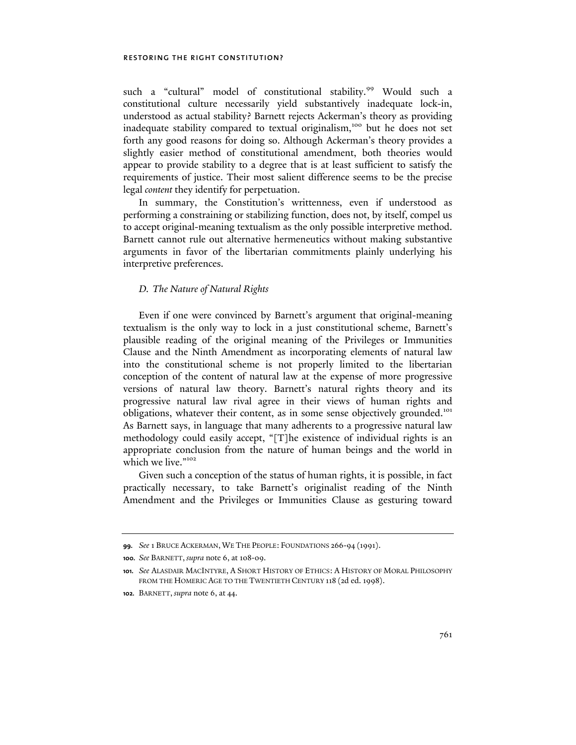such a "cultural" model of constitutional stability.<sup>99</sup> Would such a constitutional culture necessarily yield substantively inadequate lock-in, understood as actual stability? Barnett rejects Ackerman's theory as providing inadequate stability compared to textual originalism,<sup>100</sup> but he does not set forth any good reasons for doing so. Although Ackerman's theory provides a slightly easier method of constitutional amendment, both theories would appear to provide stability to a degree that is at least sufficient to satisfy the requirements of justice. Their most salient difference seems to be the precise legal *content* they identify for perpetuation.

In summary, the Constitution's writtenness, even if understood as performing a constraining or stabilizing function, does not, by itself, compel us to accept original-meaning textualism as the only possible interpretive method. Barnett cannot rule out alternative hermeneutics without making substantive arguments in favor of the libertarian commitments plainly underlying his interpretive preferences.

#### *D. The Nature of Natural Rights*

Even if one were convinced by Barnett's argument that original-meaning textualism is the only way to lock in a just constitutional scheme, Barnett's plausible reading of the original meaning of the Privileges or Immunities Clause and the Ninth Amendment as incorporating elements of natural law into the constitutional scheme is not properly limited to the libertarian conception of the content of natural law at the expense of more progressive versions of natural law theory. Barnett's natural rights theory and its progressive natural law rival agree in their views of human rights and obligations, whatever their content, as in some sense objectively grounded.<sup>101</sup> As Barnett says, in language that many adherents to a progressive natural law methodology could easily accept, "[T]he existence of individual rights is an appropriate conclusion from the nature of human beings and the world in which we live."<sup>102</sup>

Given such a conception of the status of human rights, it is possible, in fact practically necessary, to take Barnett's originalist reading of the Ninth Amendment and the Privileges or Immunities Clause as gesturing toward

**<sup>99.</sup>** *See* 1 BRUCE ACKERMAN, WE THE PEOPLE: FOUNDATIONS 266-94 (1991).

**<sup>100.</sup>** *See* BARNETT, *supra* note 6, at 108-09.

**<sup>101.</sup>** *See* ALASDAIR MACINTYRE, A SHORT HISTORY OF ETHICS: A HISTORY OF MORAL PHILOSOPHY FROM THE HOMERIC AGE TO THE TWENTIETH CENTURY 118 (2d ed. 1998).

**<sup>102.</sup>** BARNETT, *supra* note 6, at 44.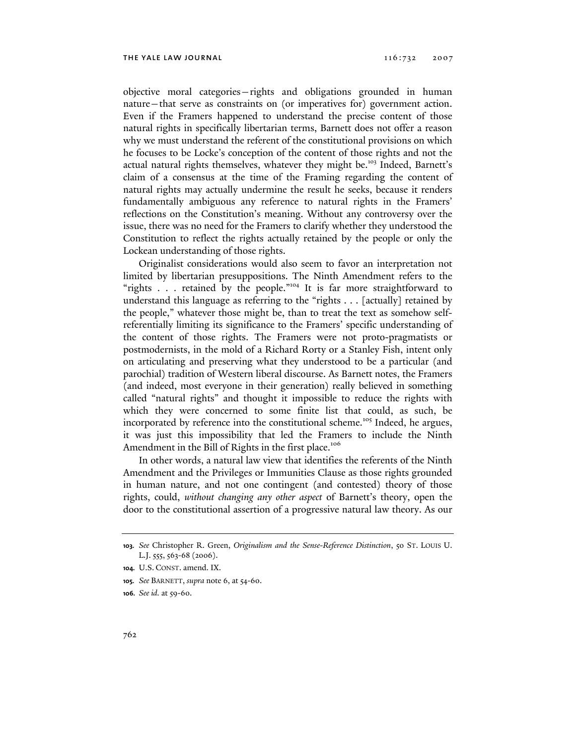objective moral categories—rights and obligations grounded in human nature—that serve as constraints on (or imperatives for) government action. Even if the Framers happened to understand the precise content of those natural rights in specifically libertarian terms, Barnett does not offer a reason why we must understand the referent of the constitutional provisions on which he focuses to be Locke's conception of the content of those rights and not the actual natural rights themselves, whatever they might be.<sup>103</sup> Indeed, Barnett's claim of a consensus at the time of the Framing regarding the content of natural rights may actually undermine the result he seeks, because it renders fundamentally ambiguous any reference to natural rights in the Framers' reflections on the Constitution's meaning. Without any controversy over the issue, there was no need for the Framers to clarify whether they understood the Constitution to reflect the rights actually retained by the people or only the Lockean understanding of those rights.

Originalist considerations would also seem to favor an interpretation not limited by libertarian presuppositions. The Ninth Amendment refers to the "rights . . . retained by the people."<sup>104</sup> It is far more straightforward to understand this language as referring to the "rights . . . [actually] retained by the people," whatever those might be, than to treat the text as somehow selfreferentially limiting its significance to the Framers' specific understanding of the content of those rights. The Framers were not proto-pragmatists or postmodernists, in the mold of a Richard Rorty or a Stanley Fish, intent only on articulating and preserving what they understood to be a particular (and parochial) tradition of Western liberal discourse. As Barnett notes, the Framers (and indeed, most everyone in their generation) really believed in something called "natural rights" and thought it impossible to reduce the rights with which they were concerned to some finite list that could, as such, be incorporated by reference into the constitutional scheme.<sup>105</sup> Indeed, he argues, it was just this impossibility that led the Framers to include the Ninth Amendment in the Bill of Rights in the first place.<sup>106</sup>

In other words, a natural law view that identifies the referents of the Ninth Amendment and the Privileges or Immunities Clause as those rights grounded in human nature, and not one contingent (and contested) theory of those rights, could, *without changing any other aspect* of Barnett's theory, open the door to the constitutional assertion of a progressive natural law theory. As our

**<sup>103.</sup>** *See* Christopher R. Green, *Originalism and the Sense-Reference Distinction*, 50 ST. LOUIS U. L.J. 555, 563-68 (2006).

**<sup>104.</sup>** U.S. CONST. amend. IX.

**<sup>105.</sup>** *See* BARNETT, *supra* note 6, at 54-60.

**<sup>106.</sup>** *See id.* at 59-60.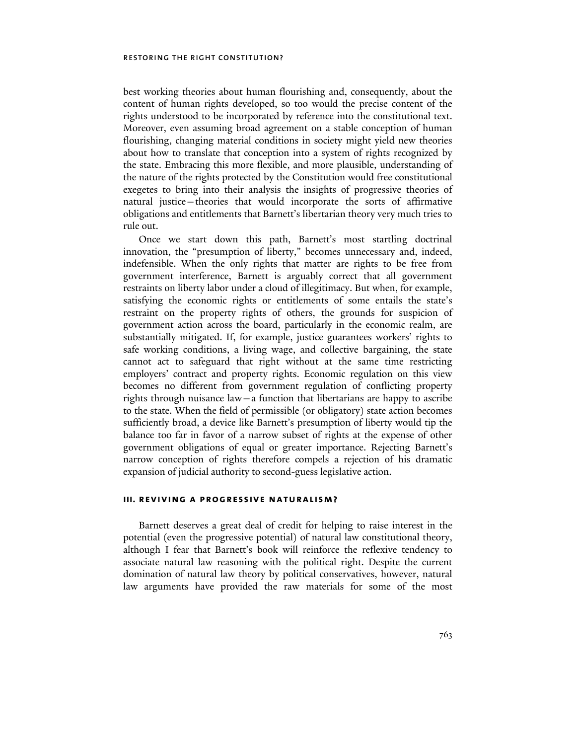best working theories about human flourishing and, consequently, about the content of human rights developed, so too would the precise content of the rights understood to be incorporated by reference into the constitutional text. Moreover, even assuming broad agreement on a stable conception of human flourishing, changing material conditions in society might yield new theories about how to translate that conception into a system of rights recognized by the state. Embracing this more flexible, and more plausible, understanding of the nature of the rights protected by the Constitution would free constitutional exegetes to bring into their analysis the insights of progressive theories of natural justice—theories that would incorporate the sorts of affirmative obligations and entitlements that Barnett's libertarian theory very much tries to rule out.

Once we start down this path, Barnett's most startling doctrinal innovation, the "presumption of liberty," becomes unnecessary and, indeed, indefensible. When the only rights that matter are rights to be free from government interference, Barnett is arguably correct that all government restraints on liberty labor under a cloud of illegitimacy. But when, for example, satisfying the economic rights or entitlements of some entails the state's restraint on the property rights of others, the grounds for suspicion of government action across the board, particularly in the economic realm, are substantially mitigated. If, for example, justice guarantees workers' rights to safe working conditions, a living wage, and collective bargaining, the state cannot act to safeguard that right without at the same time restricting employers' contract and property rights. Economic regulation on this view becomes no different from government regulation of conflicting property rights through nuisance law—a function that libertarians are happy to ascribe to the state. When the field of permissible (or obligatory) state action becomes sufficiently broad, a device like Barnett's presumption of liberty would tip the balance too far in favor of a narrow subset of rights at the expense of other government obligations of equal or greater importance. Rejecting Barnett's narrow conception of rights therefore compels a rejection of his dramatic expansion of judicial authority to second-guess legislative action.

#### **iii. reviving a progressive naturalism?**

Barnett deserves a great deal of credit for helping to raise interest in the potential (even the progressive potential) of natural law constitutional theory, although I fear that Barnett's book will reinforce the reflexive tendency to associate natural law reasoning with the political right. Despite the current domination of natural law theory by political conservatives, however, natural law arguments have provided the raw materials for some of the most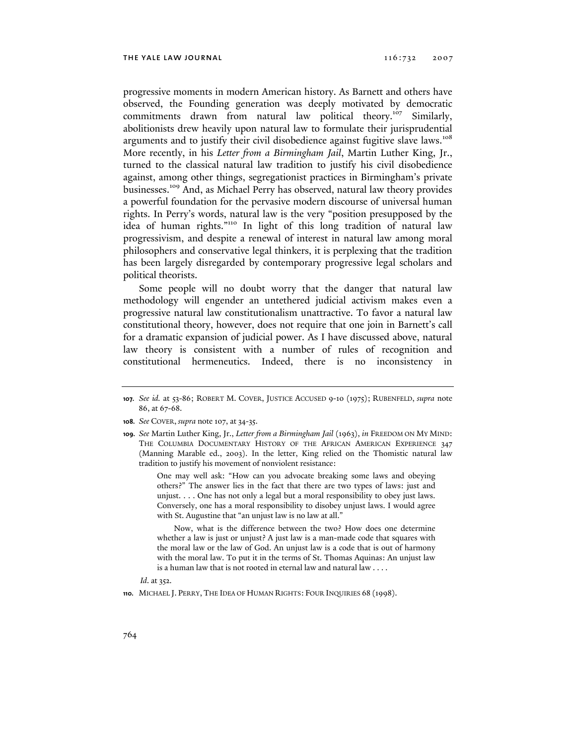progressive moments in modern American history. As Barnett and others have observed, the Founding generation was deeply motivated by democratic commitments drawn from natural law political theory.<sup>107</sup> Similarly, abolitionists drew heavily upon natural law to formulate their jurisprudential arguments and to justify their civil disobedience against fugitive slave laws.<sup>108</sup> More recently, in his *Letter from a Birmingham Jail*, Martin Luther King, Jr., turned to the classical natural law tradition to justify his civil disobedience against, among other things, segregationist practices in Birmingham's private businesses.109 And, as Michael Perry has observed, natural law theory provides a powerful foundation for the pervasive modern discourse of universal human rights. In Perry's words, natural law is the very "position presupposed by the idea of human rights."110 In light of this long tradition of natural law progressivism, and despite a renewal of interest in natural law among moral philosophers and conservative legal thinkers, it is perplexing that the tradition has been largely disregarded by contemporary progressive legal scholars and political theorists.

Some people will no doubt worry that the danger that natural law methodology will engender an untethered judicial activism makes even a progressive natural law constitutionalism unattractive. To favor a natural law constitutional theory, however, does not require that one join in Barnett's call for a dramatic expansion of judicial power. As I have discussed above, natural law theory is consistent with a number of rules of recognition and constitutional hermeneutics. Indeed, there is no inconsistency in

**109.** *See* Martin Luther King, Jr., *Letter from a Birmingham Jail* (1963), *in* FREEDOM ON MY MIND: THE COLUMBIA DOCUMENTARY HISTORY OF THE AFRICAN AMERICAN EXPERIENCE 347 (Manning Marable ed., 2003). In the letter, King relied on the Thomistic natural law tradition to justify his movement of nonviolent resistance:

> One may well ask: "How can you advocate breaking some laws and obeying others?" The answer lies in the fact that there are two types of laws: just and unjust. . . . One has not only a legal but a moral responsibility to obey just laws. Conversely, one has a moral responsibility to disobey unjust laws. I would agree with St. Augustine that "an unjust law is no law at all."

> Now, what is the difference between the two? How does one determine whether a law is just or unjust? A just law is a man-made code that squares with the moral law or the law of God. An unjust law is a code that is out of harmony with the moral law. To put it in the terms of St. Thomas Aquinas: An unjust law is a human law that is not rooted in eternal law and natural law . . . .

*Id*. at 352.

**<sup>107.</sup>** *See id.* at 53-86; ROBERT M. COVER, JUSTICE ACCUSED 9-10 (1975); RUBENFELD, *supra* note 86, at 67-68.

**<sup>108.</sup>** *See* COVER, *supra* note 107, at 34-35.

**<sup>110.</sup>** MICHAEL J. PERRY, THE IDEA OF HUMAN RIGHTS: FOUR INQUIRIES 68 (1998).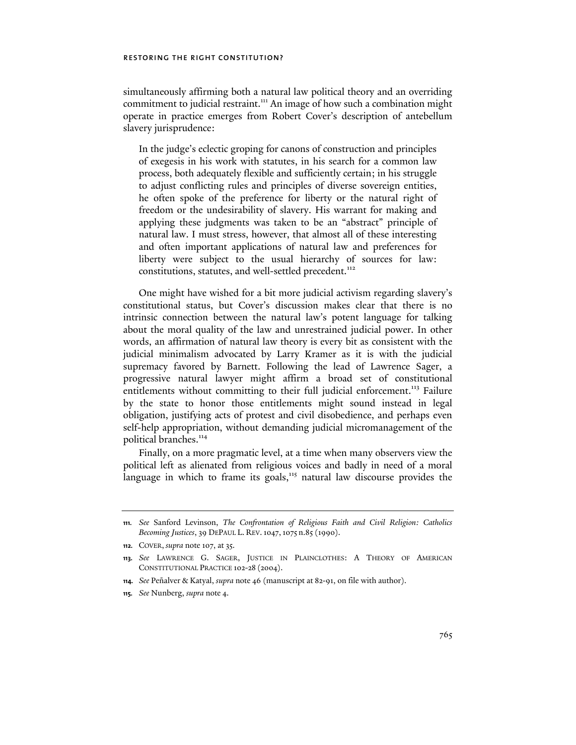simultaneously affirming both a natural law political theory and an overriding commitment to judicial restraint.<sup>111</sup> An image of how such a combination might operate in practice emerges from Robert Cover's description of antebellum slavery jurisprudence:

In the judge's eclectic groping for canons of construction and principles of exegesis in his work with statutes, in his search for a common law process, both adequately flexible and sufficiently certain; in his struggle to adjust conflicting rules and principles of diverse sovereign entities, he often spoke of the preference for liberty or the natural right of freedom or the undesirability of slavery. His warrant for making and applying these judgments was taken to be an "abstract" principle of natural law. I must stress, however, that almost all of these interesting and often important applications of natural law and preferences for liberty were subject to the usual hierarchy of sources for law: constitutions, statutes, and well-settled precedent.<sup>112</sup>

One might have wished for a bit more judicial activism regarding slavery's constitutional status, but Cover's discussion makes clear that there is no intrinsic connection between the natural law's potent language for talking about the moral quality of the law and unrestrained judicial power. In other words, an affirmation of natural law theory is every bit as consistent with the judicial minimalism advocated by Larry Kramer as it is with the judicial supremacy favored by Barnett. Following the lead of Lawrence Sager, a progressive natural lawyer might affirm a broad set of constitutional entitlements without committing to their full judicial enforcement.<sup>113</sup> Failure by the state to honor those entitlements might sound instead in legal obligation, justifying acts of protest and civil disobedience, and perhaps even self-help appropriation, without demanding judicial micromanagement of the political branches.<sup>114</sup>

Finally, on a more pragmatic level, at a time when many observers view the political left as alienated from religious voices and badly in need of a moral language in which to frame its goals,<sup>115</sup> natural law discourse provides the

**<sup>111.</sup>** *See* Sanford Levinson, *The Confrontation of Religious Faith and Civil Religion: Catholics Becoming Justices*, 39 DEPAUL L. REV.1047,1075 n.85 (1990).

**<sup>112.</sup>** COVER, *supra* note 107, at 35.

**<sup>113.</sup>** *See* LAWRENCE G. SAGER, JUSTICE IN PLAINCLOTHES: A THEORY OF AMERICAN CONSTITUTIONAL PRACTICE 102-28 (2004).

**<sup>114.</sup>** *See* Peñalver & Katyal, *supra* note 46 (manuscript at 82-91, on file with author).

**<sup>115.</sup>** *See* Nunberg, *supra* note 4.